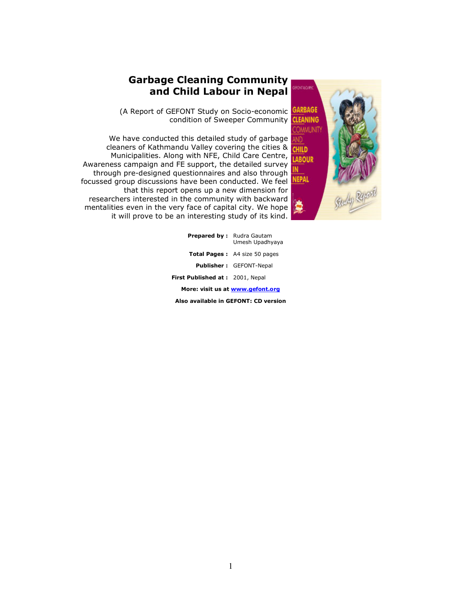# Garbage Cleaning Community and Child Labour in Nepal

(A Report of GEFONT Study on Socio-economic condition of Sweeper Community

We have conducted this detailed study of garbage cleaners of Kathmandu Valley covering the cities & Municipalities. Along with NFE, Child Care Centre, Awareness campaign and FE support, the detailed survey through pre-designed questionnaires and also through focussed group discussions have been conducted. We feel that this report opens up a new dimension for researchers interested in the community with backward mentalities even in the very face of capital city. We hope it will prove to be an interesting study of its kind.



| <b>Prepared by:</b> Rudra Gautam     | Umesh Upadhyaya                      |  |  |  |  |
|--------------------------------------|--------------------------------------|--|--|--|--|
|                                      | <b>Total Pages:</b> A4 size 50 pages |  |  |  |  |
|                                      | <b>Publisher: GEFONT-Nepal</b>       |  |  |  |  |
| First Published at: 2001, Nepal      |                                      |  |  |  |  |
| More: visit us at www.gefont.org     |                                      |  |  |  |  |
| Also available in GEFONT: CD version |                                      |  |  |  |  |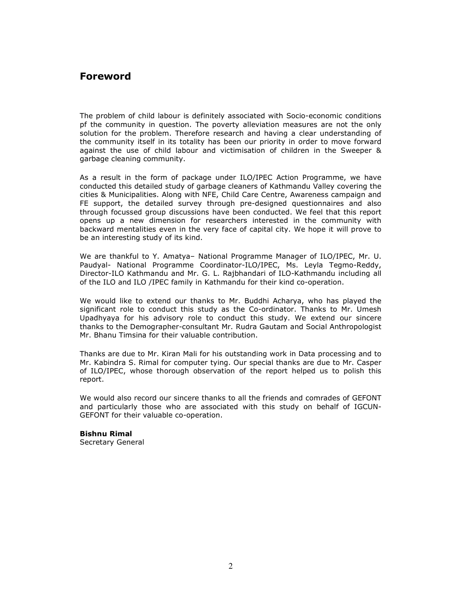## Foreword

The problem of child labour is definitely associated with Socio-economic conditions pf the community in question. The poverty alleviation measures are not the only solution for the problem. Therefore research and having a clear understanding of the community itself in its totality has been our priority in order to move forward against the use of child labour and victimisation of children in the Sweeper & garbage cleaning community.

As a result in the form of package under ILO/IPEC Action Programme, we have conducted this detailed study of garbage cleaners of Kathmandu Valley covering the cities & Municipalities. Along with NFE, Child Care Centre, Awareness campaign and FE support, the detailed survey through pre-designed questionnaires and also through focussed group discussions have been conducted. We feel that this report opens up a new dimension for researchers interested in the community with backward mentalities even in the very face of capital city. We hope it will prove to be an interesting study of its kind.

We are thankful to Y. Amatya– National Programme Manager of ILO/IPEC, Mr. U. Paudyal- National Programme Coordinator-ILO/IPEC, Ms. Leyla Tegmo-Reddy, Director-ILO Kathmandu and Mr. G. L. Rajbhandari of ILO-Kathmandu including all of the ILO and ILO /IPEC family in Kathmandu for their kind co-operation.

We would like to extend our thanks to Mr. Buddhi Acharya, who has played the significant role to conduct this study as the Co-ordinator. Thanks to Mr. Umesh Upadhyaya for his advisory role to conduct this study. We extend our sincere thanks to the Demographer-consultant Mr. Rudra Gautam and Social Anthropologist Mr. Bhanu Timsina for their valuable contribution.

Thanks are due to Mr. Kiran Mali for his outstanding work in Data processing and to Mr. Kabindra S. Rimal for computer tying. Our special thanks are due to Mr. Casper of ILO/IPEC, whose thorough observation of the report helped us to polish this report.

We would also record our sincere thanks to all the friends and comrades of GEFONT and particularly those who are associated with this study on behalf of IGCUN-GEFONT for their valuable co-operation.

Bishnu Rimal Secretary General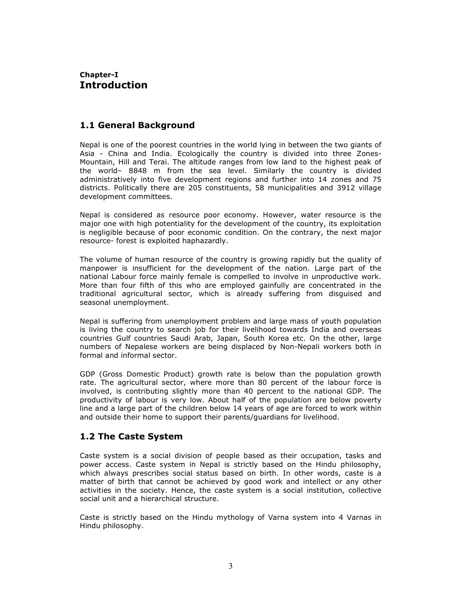### Chapter-I Introduction

### 1.1 General Background

Nepal is one of the poorest countries in the world lying in between the two giants of Asia - China and India. Ecologically the country is divided into three Zones-Mountain, Hill and Terai. The altitude ranges from low land to the highest peak of the world– 8848 m from the sea level. Similarly the country is divided administratively into five development regions and further into 14 zones and 75 districts. Politically there are 205 constituents, 58 municipalities and 3912 village development committees.

Nepal is considered as resource poor economy. However, water resource is the major one with high potentiality for the development of the country, its exploitation is negligible because of poor economic condition. On the contrary, the next major resource- forest is exploited haphazardly.

The volume of human resource of the country is growing rapidly but the quality of manpower is insufficient for the development of the nation. Large part of the national Labour force mainly female is compelled to involve in unproductive work. More than four fifth of this who are employed gainfully are concentrated in the traditional agricultural sector, which is already suffering from disguised and seasonal unemployment.

Nepal is suffering from unemployment problem and large mass of youth population is living the country to search job for their livelihood towards India and overseas countries Gulf countries Saudi Arab, Japan, South Korea etc. On the other, large numbers of Nepalese workers are being displaced by Non-Nepali workers both in formal and informal sector.

GDP (Gross Domestic Product) growth rate is below than the population growth rate. The agricultural sector, where more than 80 percent of the labour force is involved, is contributing slightly more than 40 percent to the national GDP. The productivity of labour is very low. About half of the population are below poverty line and a large part of the children below 14 years of age are forced to work within and outside their home to support their parents/guardians for livelihood.

### 1.2 The Caste System

Caste system is a social division of people based as their occupation, tasks and power access. Caste system in Nepal is strictly based on the Hindu philosophy, which always prescribes social status based on birth. In other words, caste is a matter of birth that cannot be achieved by good work and intellect or any other activities in the society. Hence, the caste system is a social institution, collective social unit and a hierarchical structure.

Caste is strictly based on the Hindu mythology of Varna system into 4 Varnas in Hindu philosophy.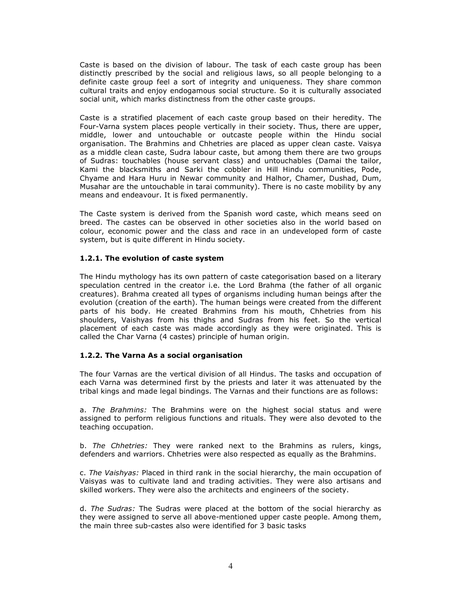Caste is based on the division of labour. The task of each caste group has been distinctly prescribed by the social and religious laws, so all people belonging to a definite caste group feel a sort of integrity and uniqueness. They share common cultural traits and enjoy endogamous social structure. So it is culturally associated social unit, which marks distinctness from the other caste groups.

Caste is a stratified placement of each caste group based on their heredity. The Four-Varna system places people vertically in their society. Thus, there are upper, middle, lower and untouchable or outcaste people within the Hindu social organisation. The Brahmins and Chhetries are placed as upper clean caste. Vaisya as a middle clean caste, Sudra labour caste, but among them there are two groups of Sudras: touchables (house servant class) and untouchables (Damai the tailor, Kami the blacksmiths and Sarki the cobbler in Hill Hindu communities, Pode, Chyame and Hara Huru in Newar community and Halhor, Chamer, Dushad, Dum, Musahar are the untouchable in tarai community). There is no caste mobility by any means and endeavour. It is fixed permanently.

The Caste system is derived from the Spanish word caste, which means seed on breed. The castes can be observed in other societies also in the world based on colour, economic power and the class and race in an undeveloped form of caste system, but is quite different in Hindu society.

#### 1.2.1. The evolution of caste system

The Hindu mythology has its own pattern of caste categorisation based on a literary speculation centred in the creator i.e. the Lord Brahma (the father of all organic creatures). Brahma created all types of organisms including human beings after the evolution (creation of the earth). The human beings were created from the different parts of his body. He created Brahmins from his mouth, Chhetries from his shoulders, Vaishyas from his thighs and Sudras from his feet. So the vertical placement of each caste was made accordingly as they were originated. This is called the Char Varna (4 castes) principle of human origin.

#### 1.2.2. The Varna As a social organisation

The four Varnas are the vertical division of all Hindus. The tasks and occupation of each Varna was determined first by the priests and later it was attenuated by the tribal kings and made legal bindings. The Varnas and their functions are as follows:

a. The Brahmins: The Brahmins were on the highest social status and were assigned to perform religious functions and rituals. They were also devoted to the teaching occupation.

b. The Chhetries: They were ranked next to the Brahmins as rulers, kings, defenders and warriors. Chhetries were also respected as equally as the Brahmins.

c. The Vaishyas: Placed in third rank in the social hierarchy, the main occupation of Vaisyas was to cultivate land and trading activities. They were also artisans and skilled workers. They were also the architects and engineers of the society.

d. The Sudras: The Sudras were placed at the bottom of the social hierarchy as they were assigned to serve all above-mentioned upper caste people. Among them, the main three sub-castes also were identified for 3 basic tasks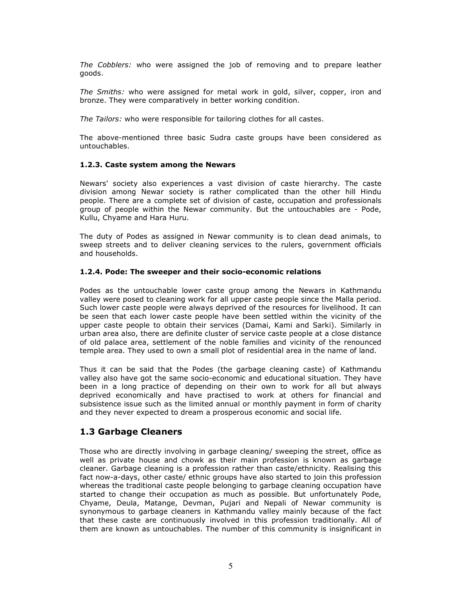The Cobblers: who were assigned the job of removing and to prepare leather goods.

The Smiths: who were assigned for metal work in gold, silver, copper, iron and bronze. They were comparatively in better working condition.

The Tailors: who were responsible for tailoring clothes for all castes.

The above-mentioned three basic Sudra caste groups have been considered as untouchables.

#### 1.2.3. Caste system among the Newars

Newars' society also experiences a vast division of caste hierarchy. The caste division among Newar society is rather complicated than the other hill Hindu people. There are a complete set of division of caste, occupation and professionals group of people within the Newar community. But the untouchables are - Pode, Kullu, Chyame and Hara Huru.

The duty of Podes as assigned in Newar community is to clean dead animals, to sweep streets and to deliver cleaning services to the rulers, government officials and households.

#### 1.2.4. Pode: The sweeper and their socio-economic relations

Podes as the untouchable lower caste group among the Newars in Kathmandu valley were posed to cleaning work for all upper caste people since the Malla period. Such lower caste people were always deprived of the resources for livelihood. It can be seen that each lower caste people have been settled within the vicinity of the upper caste people to obtain their services (Damai, Kami and Sarki). Similarly in urban area also, there are definite cluster of service caste people at a close distance of old palace area, settlement of the noble families and vicinity of the renounced temple area. They used to own a small plot of residential area in the name of land.

Thus it can be said that the Podes (the garbage cleaning caste) of Kathmandu valley also have got the same socio-economic and educational situation. They have been in a long practice of depending on their own to work for all but always deprived economically and have practised to work at others for financial and subsistence issue such as the limited annual or monthly payment in form of charity and they never expected to dream a prosperous economic and social life.

### 1.3 Garbage Cleaners

Those who are directly involving in garbage cleaning/ sweeping the street, office as well as private house and chowk as their main profession is known as garbage cleaner. Garbage cleaning is a profession rather than caste/ethnicity. Realising this fact now-a-days, other caste/ ethnic groups have also started to join this profession whereas the traditional caste people belonging to garbage cleaning occupation have started to change their occupation as much as possible. But unfortunately Pode, Chyame, Deula, Matange, Devman, Pujari and Nepali of Newar community is synonymous to garbage cleaners in Kathmandu valley mainly because of the fact that these caste are continuously involved in this profession traditionally. All of them are known as untouchables. The number of this community is insignificant in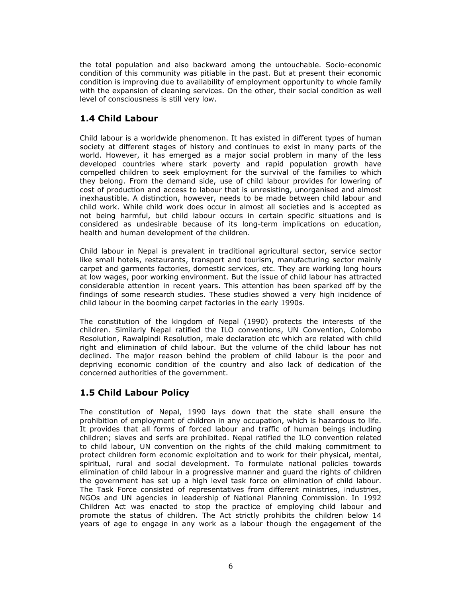the total population and also backward among the untouchable. Socio-economic condition of this community was pitiable in the past. But at present their economic condition is improving due to availability of employment opportunity to whole family with the expansion of cleaning services. On the other, their social condition as well level of consciousness is still very low.

# 1.4 Child Labour

Child labour is a worldwide phenomenon. It has existed in different types of human society at different stages of history and continues to exist in many parts of the world. However, it has emerged as a major social problem in many of the less developed countries where stark poverty and rapid population growth have compelled children to seek employment for the survival of the families to which they belong. From the demand side, use of child labour provides for lowering of cost of production and access to labour that is unresisting, unorganised and almost inexhaustible. A distinction, however, needs to be made between child labour and child work. While child work does occur in almost all societies and is accepted as not being harmful, but child labour occurs in certain specific situations and is considered as undesirable because of its long-term implications on education, health and human development of the children.

Child labour in Nepal is prevalent in traditional agricultural sector, service sector like small hotels, restaurants, transport and tourism, manufacturing sector mainly carpet and garments factories, domestic services, etc. They are working long hours at low wages, poor working environment. But the issue of child labour has attracted considerable attention in recent years. This attention has been sparked off by the findings of some research studies. These studies showed a very high incidence of child labour in the booming carpet factories in the early 1990s.

The constitution of the kingdom of Nepal (1990) protects the interests of the children. Similarly Nepal ratified the ILO conventions, UN Convention, Colombo Resolution, Rawalpindi Resolution, male declaration etc which are related with child right and elimination of child labour. But the volume of the child labour has not declined. The major reason behind the problem of child labour is the poor and depriving economic condition of the country and also lack of dedication of the concerned authorities of the government.

# 1.5 Child Labour Policy

The constitution of Nepal, 1990 lays down that the state shall ensure the prohibition of employment of children in any occupation, which is hazardous to life. It provides that all forms of forced labour and traffic of human beings including children; slaves and serfs are prohibited. Nepal ratified the ILO convention related to child labour, UN convention on the rights of the child making commitment to protect children form economic exploitation and to work for their physical, mental, spiritual, rural and social development. To formulate national policies towards elimination of child labour in a progressive manner and guard the rights of children the government has set up a high level task force on elimination of child labour. The Task Force consisted of representatives from different ministries, industries, NGOs and UN agencies in leadership of National Planning Commission. In 1992 Children Act was enacted to stop the practice of employing child labour and promote the status of children. The Act strictly prohibits the children below 14 years of age to engage in any work as a labour though the engagement of the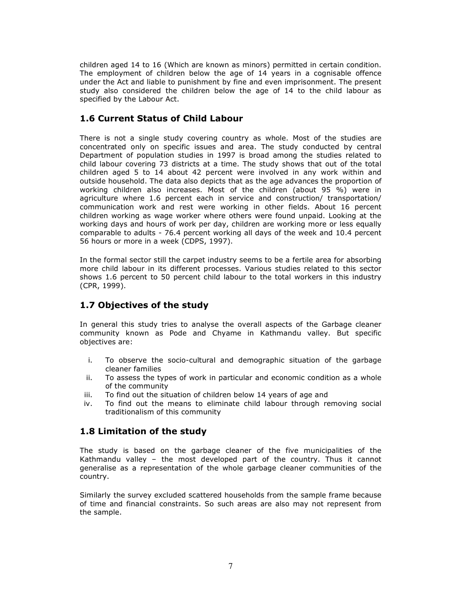children aged 14 to 16 (Which are known as minors) permitted in certain condition. The employment of children below the age of 14 years in a cognisable offence under the Act and liable to punishment by fine and even imprisonment. The present study also considered the children below the age of 14 to the child labour as specified by the Labour Act.

## 1.6 Current Status of Child Labour

There is not a single study covering country as whole. Most of the studies are concentrated only on specific issues and area. The study conducted by central Department of population studies in 1997 is broad among the studies related to child labour covering 73 districts at a time. The study shows that out of the total children aged 5 to 14 about 42 percent were involved in any work within and outside household. The data also depicts that as the age advances the proportion of working children also increases. Most of the children (about 95 %) were in agriculture where 1.6 percent each in service and construction/ transportation/ communication work and rest were working in other fields. About 16 percent children working as wage worker where others were found unpaid. Looking at the working days and hours of work per day, children are working more or less equally comparable to adults - 76.4 percent working all days of the week and 10.4 percent 56 hours or more in a week (CDPS, 1997).

In the formal sector still the carpet industry seems to be a fertile area for absorbing more child labour in its different processes. Various studies related to this sector shows 1.6 percent to 50 percent child labour to the total workers in this industry (CPR, 1999).

# 1.7 Objectives of the study

In general this study tries to analyse the overall aspects of the Garbage cleaner community known as Pode and Chyame in Kathmandu valley. But specific objectives are:

- i. To observe the socio-cultural and demographic situation of the garbage cleaner families
- ii. To assess the types of work in particular and economic condition as a whole of the community
- iii. To find out the situation of children below 14 years of age and
- iv. To find out the means to eliminate child labour through removing social traditionalism of this community

### 1.8 Limitation of the study

The study is based on the garbage cleaner of the five municipalities of the Kathmandu valley – the most developed part of the country. Thus it cannot generalise as a representation of the whole garbage cleaner communities of the country.

Similarly the survey excluded scattered households from the sample frame because of time and financial constraints. So such areas are also may not represent from the sample.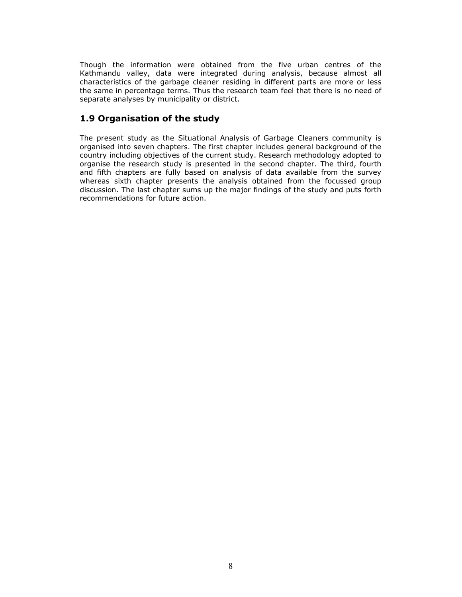Though the information were obtained from the five urban centres of the Kathmandu valley, data were integrated during analysis, because almost all characteristics of the garbage cleaner residing in different parts are more or less the same in percentage terms. Thus the research team feel that there is no need of separate analyses by municipality or district.

# 1.9 Organisation of the study

The present study as the Situational Analysis of Garbage Cleaners community is organised into seven chapters. The first chapter includes general background of the country including objectives of the current study. Research methodology adopted to organise the research study is presented in the second chapter. The third, fourth and fifth chapters are fully based on analysis of data available from the survey whereas sixth chapter presents the analysis obtained from the focussed group discussion. The last chapter sums up the major findings of the study and puts forth recommendations for future action.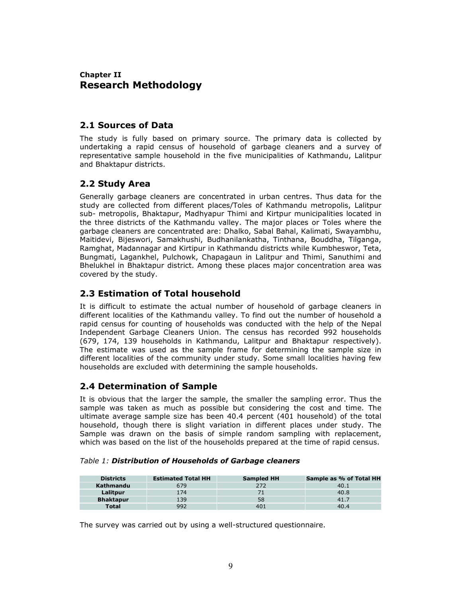## Chapter II Research Methodology

### 2.1 Sources of Data

The study is fully based on primary source. The primary data is collected by undertaking a rapid census of household of garbage cleaners and a survey of representative sample household in the five municipalities of Kathmandu, Lalitpur and Bhaktapur districts.

### 2.2 Study Area

Generally garbage cleaners are concentrated in urban centres. Thus data for the study are collected from different places/Toles of Kathmandu metropolis, Lalitpur sub- metropolis, Bhaktapur, Madhyapur Thimi and Kirtpur municipalities located in the three districts of the Kathmandu valley. The major places or Toles where the garbage cleaners are concentrated are: Dhalko, Sabal Bahal, Kalimati, Swayambhu, Maitidevi, Bijeswori, Samakhushi, Budhanilankatha, Tinthana, Bouddha, Tilganga, Ramghat, Madannagar and Kirtipur in Kathmandu districts while Kumbheswor, Teta, Bungmati, Lagankhel, Pulchowk, Chapagaun in Lalitpur and Thimi, Sanuthimi and Bhelukhel in Bhaktapur district. Among these places major concentration area was covered by the study.

## 2.3 Estimation of Total household

It is difficult to estimate the actual number of household of garbage cleaners in different localities of the Kathmandu valley. To find out the number of household a rapid census for counting of households was conducted with the help of the Nepal Independent Garbage Cleaners Union. The census has recorded 992 households (679, 174, 139 households in Kathmandu, Lalitpur and Bhaktapur respectively). The estimate was used as the sample frame for determining the sample size in different localities of the community under study. Some small localities having few households are excluded with determining the sample households.

### 2.4 Determination of Sample

It is obvious that the larger the sample, the smaller the sampling error. Thus the sample was taken as much as possible but considering the cost and time. The ultimate average sample size has been 40.4 percent (401 household) of the total household, though there is slight variation in different places under study. The Sample was drawn on the basis of simple random sampling with replacement, which was based on the list of the households prepared at the time of rapid census.

| Table 1: Distribution of Households of Garbage cleaners |  |
|---------------------------------------------------------|--|
|---------------------------------------------------------|--|

| <b>Districts</b> | <b>Estimated Total HH</b> | <b>Sampled HH</b> | Sample as % of Total HH |
|------------------|---------------------------|-------------------|-------------------------|
| Kathmandu        | 579                       | 272               | 40.1                    |
| Lalitpur         | 174                       |                   | 40.8                    |
| <b>Bhaktapur</b> | 139                       | 58                | 41.7                    |
| <b>Total</b>     | 997                       | 401               | 40.4                    |

The survey was carried out by using a well-structured questionnaire.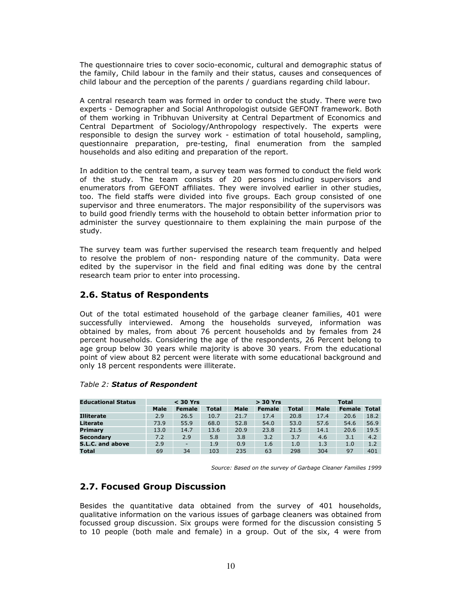The questionnaire tries to cover socio-economic, cultural and demographic status of the family, Child labour in the family and their status, causes and consequences of child labour and the perception of the parents / guardians regarding child labour.

A central research team was formed in order to conduct the study. There were two experts - Demographer and Social Anthropologist outside GEFONT framework. Both of them working in Tribhuvan University at Central Department of Economics and Central Department of Sociology/Anthropology respectively. The experts were responsible to design the survey work - estimation of total household, sampling, questionnaire preparation, pre-testing, final enumeration from the sampled households and also editing and preparation of the report.

In addition to the central team, a survey team was formed to conduct the field work of the study. The team consists of 20 persons including supervisors and enumerators from GEFONT affiliates. They were involved earlier in other studies, too. The field staffs were divided into five groups. Each group consisted of one supervisor and three enumerators. The major responsibility of the supervisors was to build good friendly terms with the household to obtain better information prior to administer the survey questionnaire to them explaining the main purpose of the study.

The survey team was further supervised the research team frequently and helped to resolve the problem of non- responding nature of the community. Data were edited by the supervisor in the field and final editing was done by the central research team prior to enter into processing.

### 2.6. Status of Respondents

Out of the total estimated household of the garbage cleaner families, 401 were successfully interviewed. Among the households surveyed, information was obtained by males, from about 76 percent households and by females from 24 percent households. Considering the age of the respondents, 26 Percent belong to age group below 30 years while majority is above 30 years. From the educational point of view about 82 percent were literate with some educational background and only 18 percent respondents were illiterate.

| <b>Educational Status</b> |      | $<$ 30 Yrs    |              | $>$ 30 Yrs  |               |              | <b>Total</b> |               |              |
|---------------------------|------|---------------|--------------|-------------|---------------|--------------|--------------|---------------|--------------|
|                           | Male | <b>Female</b> | <b>Total</b> | <b>Male</b> | <b>Female</b> | <b>Total</b> | <b>Male</b>  | <b>Female</b> | <b>Total</b> |
| <b>Illiterate</b>         | 2.9  | 26.5          | 10.7         | 21.7        | 17.4          | 20.8         | 17.4         | 20.6          | 18.2         |
| Literate                  | 73.9 | 55.9          | 68.0         | 52.8        | 54.0          | 53.0         | 57.6         | 54.6          | 56.9         |
| Primary                   | 13.0 | 14.7          | 13.6         | 20.9        | 23.8          | 21.5         | 14.1         | 20.6          | 19.5         |
| Secondarv                 | 7.2  | 2.9           | 5.8          | 3.8         | 3.2           | 3.7          | 4.6          | 3.1           | 4.2          |
| S.L.C. and above          | 2.9  | ٠             | 1.9          | 0.9         | 1.6           | 1.0          | 1.3          | 1.0           | 1.2          |
| <b>Total</b>              | 69   | 34            | 103          | 235         | 63            | 298          | 304          | 97            | 401          |

#### Table 2: Status of Respondent

Source: Based on the survey of Garbage Cleaner Families 1999

### 2.7. Focused Group Discussion

Besides the quantitative data obtained from the survey of 401 households, qualitative information on the various issues of garbage cleaners was obtained from focussed group discussion. Six groups were formed for the discussion consisting 5 to 10 people (both male and female) in a group. Out of the six, 4 were from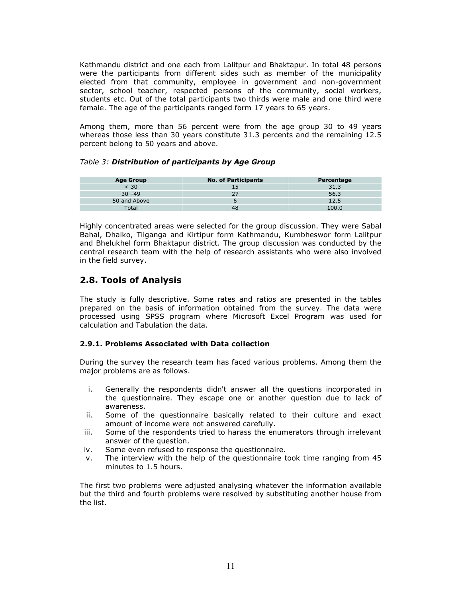Kathmandu district and one each from Lalitpur and Bhaktapur. In total 48 persons were the participants from different sides such as member of the municipality elected from that community, employee in government and non-government sector, school teacher, respected persons of the community, social workers, students etc. Out of the total participants two thirds were male and one third were female. The age of the participants ranged form 17 years to 65 years.

Among them, more than 56 percent were from the age group 30 to 49 years whereas those less than 30 years constitute 31.3 percents and the remaining 12.5 percent belong to 50 years and above.

#### Table 3: Distribution of participants by Age Group

| <b>Age Group</b> | <b>No. of Participants</b> | Percentage |
|------------------|----------------------------|------------|
| < 30             |                            | 31.3       |
| $30 - 49$        |                            | 56.3       |
| 50 and Above     |                            | 12.5       |
| Total            | 48                         | 100.C      |

Highly concentrated areas were selected for the group discussion. They were Sabal Bahal, Dhalko, Tilganga and Kirtipur form Kathmandu, Kumbheswor form Lalitpur and Bhelukhel form Bhaktapur district. The group discussion was conducted by the central research team with the help of research assistants who were also involved in the field survey.

### 2.8. Tools of Analysis

The study is fully descriptive. Some rates and ratios are presented in the tables prepared on the basis of information obtained from the survey. The data were processed using SPSS program where Microsoft Excel Program was used for calculation and Tabulation the data.

### 2.9.1. Problems Associated with Data collection

During the survey the research team has faced various problems. Among them the major problems are as follows.

- i. Generally the respondents didn't answer all the questions incorporated in the questionnaire. They escape one or another question due to lack of awareness.
- ii. Some of the questionnaire basically related to their culture and exact amount of income were not answered carefully.
- iii. Some of the respondents tried to harass the enumerators through irrelevant answer of the question.
- iv. Some even refused to response the questionnaire.
- v. The interview with the help of the questionnaire took time ranging from 45 minutes to 1.5 hours.

The first two problems were adjusted analysing whatever the information available but the third and fourth problems were resolved by substituting another house from the list.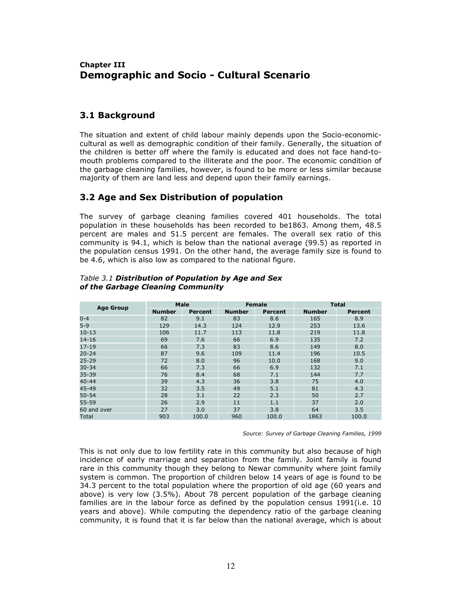### Chapter III Demographic and Socio - Cultural Scenario

### 3.1 Background

The situation and extent of child labour mainly depends upon the Socio-economiccultural as well as demographic condition of their family. Generally, the situation of the children is better off where the family is educated and does not face hand-tomouth problems compared to the illiterate and the poor. The economic condition of the garbage cleaning families, however, is found to be more or less similar because majority of them are land less and depend upon their family earnings.

## 3.2 Age and Sex Distribution of population

The survey of garbage cleaning families covered 401 households. The total population in these households has been recorded to be1863. Among them, 48.5 percent are males and 51.5 percent are females. The overall sex ratio of this community is 94.1, which is below than the national average (99.5) as reported in the population census 1991. On the other hand, the average family size is found to be 4.6, which is also low as compared to the national figure.

| <b>Age Group</b> | <b>Male</b>                                                 |       |     | <b>Female</b> | <b>Total</b>   |       |  |
|------------------|-------------------------------------------------------------|-------|-----|---------------|----------------|-------|--|
|                  | <b>Number</b><br><b>Number</b><br><b>Percent</b><br>Percent |       |     | <b>Number</b> | <b>Percent</b> |       |  |
| $0 - 4$          | 82                                                          | 9.1   | 83  | 8.6           | 165            | 8.9   |  |
| $5 - 9$          | 129                                                         | 14.3  | 124 | 12.9          | 253            | 13.6  |  |
| $10 - 13$        | 106                                                         | 11.7  | 113 | 11.8          | 219            | 11.8  |  |
| $14 - 16$        | 69                                                          | 7.6   | 66  | 6.9           | 135            | 7.2   |  |
| $17 - 19$        | 66                                                          | 7.3   | 83  | 8.6           | 149            | 8.0   |  |
| $20 - 24$        | 87                                                          | 9.6   | 109 | 11.4          | 196            | 10.5  |  |
| $25 - 29$        | 72                                                          | 8.0   | 96  | 10.0          | 168            | 9.0   |  |
| $30 - 34$        | 66                                                          | 7.3   | 66  | 6.9           | 132            | 7.1   |  |
| 35-39            | 76                                                          | 8.4   | 68  | 7.1           | 144            | 7.7   |  |
| $40 - 44$        | 39                                                          | 4.3   | 36  | 3.8           | 75             | 4.0   |  |
| 45-49            | 32                                                          | 3.5   | 49  | 5.1           | 81             | 4.3   |  |
| $50 - 54$        | 28                                                          | 3.1   | 22  | 2.3           | 50             | 2.7   |  |
| 55-59            | 26                                                          | 2.9   | 11  | 1.1           | 37             | 2.0   |  |
| 60 and over      | 27                                                          | 3.0   | 37  | 3.8           | 64             | 3.5   |  |
| Total            | 903                                                         | 100.0 | 960 | 100.0         | 1863           | 100.0 |  |

#### Table 3.1 Distribution of Population by Age and Sex of the Garbage Cleaning Community

Source: Survey of Garbage Cleaning Families, 1999

This is not only due to low fertility rate in this community but also because of high incidence of early marriage and separation from the family. Joint family is found rare in this community though they belong to Newar community where joint family system is common. The proportion of children below 14 years of age is found to be 34.3 percent to the total population where the proportion of old age (60 years and above) is very low (3.5%). About 78 percent population of the garbage cleaning families are in the labour force as defined by the population census 1991(i.e. 10 years and above). While computing the dependency ratio of the garbage cleaning community, it is found that it is far below than the national average, which is about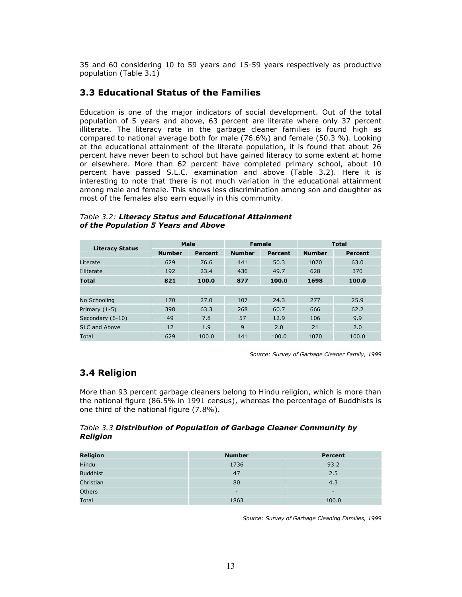35 and 60 considering 10 to 59 years and 15-59 years respectively as productive population (Table 3.1)

### 3.3 Educational Status of the Families

Education is one of the major indicators of social development. Out of the total population of 5 years and above, 63 percent are literate where only 37 percent illiterate. The literacy rate in the garbage cleaner families is found high as compared to national average both for male (76.6%) and female (50.3 %). Looking at the educational attainment of the literate population, it is found that about 26 percent have never been to school but have gained literacy to some extent at home or elsewhere. More than 62 percent have completed primary school, about 10 percent have passed S.L.C. examination and above (Table 3.2). Here it is interesting to note that there is not much variation in the educational attainment among male and female. This shows less discrimination among son and daughter as most of the females also earn equally in this community.

| <b>Literacy Status</b> | Male                                                        |       |     | <b>Female</b> | <b>Total</b> |       |
|------------------------|-------------------------------------------------------------|-------|-----|---------------|--------------|-------|
|                        | <b>Number</b><br><b>Number</b><br><b>Percent</b><br>Percent |       |     | <b>Number</b> | Percent      |       |
| Literate               | 629                                                         | 76.6  | 441 | 50.3          | 1070         | 63.0  |
| Illiterate             | 192                                                         | 23.4  | 436 | 49.7          | 628          | 370   |
| <b>Total</b>           | 821                                                         | 100.0 | 877 | 100.0         | 1698         | 100.0 |
|                        |                                                             |       |     |               |              |       |
| No Schooling           | 170                                                         | 27.0  | 107 | 24.3          | 277          | 25.9  |
| Primary (1-5)          | 398                                                         | 63.3  | 268 | 60.7          | 666          | 62.2  |
| Secondary (6-10)       | 49                                                          | 7.8   | 57  | 12.9          | 106          | 9.9   |
| SLC and Above          | 12                                                          | 1.9   | 9   | 2.0           | 21           | 2.0   |
| Total                  | 629                                                         | 100.0 | 441 | 100.0         | 1070         | 100.0 |

Table 3.2: Literacy Status and Educational Attainment of the Population 5 Years and Above

Source: Survey of Garbage Cleaner Family, 1999

### 3.4 Religion

More than 93 percent garbage cleaners belong to Hindu religion, which is more than the national figure (86.5% in 1991 census), whereas the percentage of Buddhists is one third of the national figure (7.8%).

#### Table 3.3 Distribution of Population of Garbage Cleaner Community by Religion

| <b>Religion</b> | <b>Number</b> | Percent                  |
|-----------------|---------------|--------------------------|
| Hindu           | 1736          | 93.2                     |
| <b>Buddhist</b> | 47            | 2.5                      |
| Christian       | 80            | 4.3                      |
| Others          | -             | $\overline{\phantom{0}}$ |
| Total           | 1863          | 100.0                    |

Source: Survey of Garbage Cleaning Families, 1999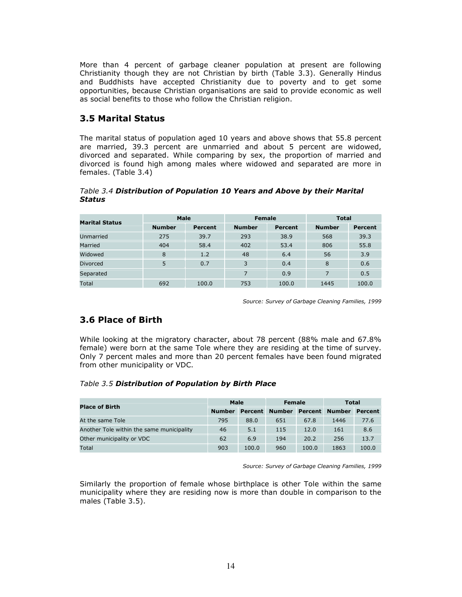More than 4 percent of garbage cleaner population at present are following Christianity though they are not Christian by birth (Table 3.3). Generally Hindus and Buddhists have accepted Christianity due to poverty and to get some opportunities, because Christian organisations are said to provide economic as well as social benefits to those who follow the Christian religion.

### 3.5 Marital Status

The marital status of population aged 10 years and above shows that 55.8 percent are married, 39.3 percent are unmarried and about 5 percent are widowed, divorced and separated. While comparing by sex, the proportion of married and divorced is found high among males where widowed and separated are more in females. (Table 3.4)

#### Table 3.4 Distribution of Population 10 Years and Above by their Marital Status

| <b>Marital Status</b> | Male          |         | <b>Female</b> |         | <b>Total</b>  |                |  |
|-----------------------|---------------|---------|---------------|---------|---------------|----------------|--|
|                       | <b>Number</b> | Percent | <b>Number</b> | Percent | <b>Number</b> | <b>Percent</b> |  |
| Unmarried             | 275           | 39.7    | 293           | 38.9    | 568           | 39.3           |  |
| Married               | 404           | 58.4    | 402           | 53.4    | 806           | 55.8           |  |
| Widowed               | 8             | 1.2     | 48            | 6.4     | 56            | 3.9            |  |
| <b>Divorced</b>       | 5             | 0.7     | 3             | 0.4     | 8             | 0.6            |  |
| Separated             |               |         | 7             | 0.9     | 7             | 0.5            |  |
| Total                 | 692           | 100.0   | 753           | 100.0   | 1445          | 100.0          |  |

Source: Survey of Garbage Cleaning Families, 1999

## 3.6 Place of Birth

While looking at the migratory character, about 78 percent (88% male and 67.8% female) were born at the same Tole where they are residing at the time of survey. Only 7 percent males and more than 20 percent females have been found migrated from other municipality or VDC.

### Table 3.5 Distribution of Population by Birth Place

| <b>Place of Birth</b>                     | <b>Male</b>   |         | Female        |         | Total         |         |
|-------------------------------------------|---------------|---------|---------------|---------|---------------|---------|
|                                           | <b>Number</b> | Percent | <b>Number</b> | Percent | <b>Number</b> | Percent |
| At the same Tole                          | 795           | 88.0    | 651           | 67.8    | 1446          | 77.6    |
| Another Tole within the same municipality | 46            | 5.1     | 115           | 12.0    | 161           | 8.6     |
| Other municipality or VDC                 | 62            | 6.9     | 194           | 20.2    | 256           | 13.7    |
| Total                                     | 903           | 100.0   | 960           | 100.0   | 1863          | 100.0   |

Source: Survey of Garbage Cleaning Families, 1999

Similarly the proportion of female whose birthplace is other Tole within the same municipality where they are residing now is more than double in comparison to the males (Table 3.5).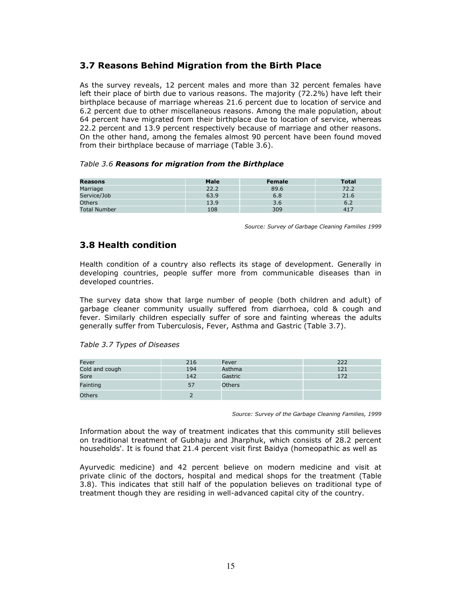## 3.7 Reasons Behind Migration from the Birth Place

As the survey reveals, 12 percent males and more than 32 percent females have left their place of birth due to various reasons. The majority (72.2%) have left their birthplace because of marriage whereas 21.6 percent due to location of service and 6.2 percent due to other miscellaneous reasons. Among the male population, about 64 percent have migrated from their birthplace due to location of service, whereas 22.2 percent and 13.9 percent respectively because of marriage and other reasons. On the other hand, among the females almost 90 percent have been found moved from their birthplace because of marriage (Table 3.6).

#### Table 3.6 Reasons for migration from the Birthplace

| Reasons             | <b>Male</b> | <b>Female</b> | <b>Total</b> |
|---------------------|-------------|---------------|--------------|
| Marriage            | 22.2        | 89.6          | 72.2         |
| Service/Job         | 63.9        | 6.8           | 21.6         |
| <b>Others</b>       | 13.9        | 3.6           | 6.2          |
| <b>Total Number</b> | 108         | 309           | 417          |

Source: Survey of Garbage Cleaning Families 1999

### 3.8 Health condition

Health condition of a country also reflects its stage of development. Generally in developing countries, people suffer more from communicable diseases than in developed countries.

The survey data show that large number of people (both children and adult) of garbage cleaner community usually suffered from diarrhoea, cold & cough and fever. Similarly children especially suffer of sore and fainting whereas the adults generally suffer from Tuberculosis, Fever, Asthma and Gastric (Table 3.7).

| Fever          | 216 | Fever         | 222 |
|----------------|-----|---------------|-----|
| Cold and cough | 194 | Asthma        | 121 |
| Sore           | 142 | Gastric       | 172 |
| Fainting       |     | <b>Others</b> |     |
| <b>Others</b>  |     |               |     |

Source: Survey of the Garbage Cleaning Families, 1999

Information about the way of treatment indicates that this community still believes on traditional treatment of Gubhaju and Jharphuk, which consists of 28.2 percent households'. It is found that 21.4 percent visit first Baidya (homeopathic as well as

Ayurvedic medicine) and 42 percent believe on modern medicine and visit at private clinic of the doctors, hospital and medical shops for the treatment (Table 3.8). This indicates that still half of the population believes on traditional type of treatment though they are residing in well-advanced capital city of the country.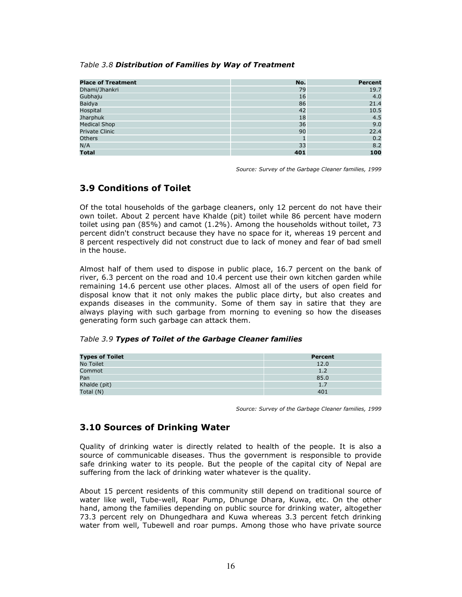#### Table 3.8 Distribution of Families by Way of Treatment

| <b>Place of Treatment</b> | No. | <b>Percent</b> |
|---------------------------|-----|----------------|
| Dhami/Jhankri             | 79  | 19.7           |
| Gubhaju                   | 16  | 4.0            |
| <b>Baidya</b>             | 86  | 21.4           |
| Hospital                  | 42  | 10.5           |
| Jharphuk                  | 18  | 4.5            |
| <b>Medical Shop</b>       | 36  | 9.0            |
| <b>Private Clinic</b>     | 90  | 22.4           |
| <b>Others</b>             |     | 0.2            |
| N/A                       | 33  | 8.2            |
| <b>Total</b>              | 401 | 100            |

Source: Survey of the Garbage Cleaner families, 1999

# 3.9 Conditions of Toilet

Of the total households of the garbage cleaners, only 12 percent do not have their own toilet. About 2 percent have Khalde (pit) toilet while 86 percent have modern toilet using pan (85%) and camot (1.2%). Among the households without toilet, 73 percent didn't construct because they have no space for it, whereas 19 percent and 8 percent respectively did not construct due to lack of money and fear of bad smell in the house.

Almost half of them used to dispose in public place, 16.7 percent on the bank of river, 6.3 percent on the road and 10.4 percent use their own kitchen garden while remaining 14.6 percent use other places. Almost all of the users of open field for disposal know that it not only makes the public place dirty, but also creates and expands diseases in the community. Some of them say in satire that they are always playing with such garbage from morning to evening so how the diseases generating form such garbage can attack them.

#### Table 3.9 Types of Toilet of the Garbage Cleaner families

| <b>Types of Toilet</b> | Percent |
|------------------------|---------|
| No Toilet              | 12.0    |
| Commot                 | 1.2     |
| Pan                    | 85.0    |
| Khalde (pit)           | 1.7     |
| Total (N)              | 401     |

Source: Survey of the Garbage Cleaner families, 1999

### 3.10 Sources of Drinking Water

Quality of drinking water is directly related to health of the people. It is also a source of communicable diseases. Thus the government is responsible to provide safe drinking water to its people. But the people of the capital city of Nepal are suffering from the lack of drinking water whatever is the quality.

About 15 percent residents of this community still depend on traditional source of water like well, Tube-well, Roar Pump, Dhunge Dhara, Kuwa, etc. On the other hand, among the families depending on public source for drinking water, altogether 73.3 percent rely on Dhungedhara and Kuwa whereas 3.3 percent fetch drinking water from well, Tubewell and roar pumps. Among those who have private source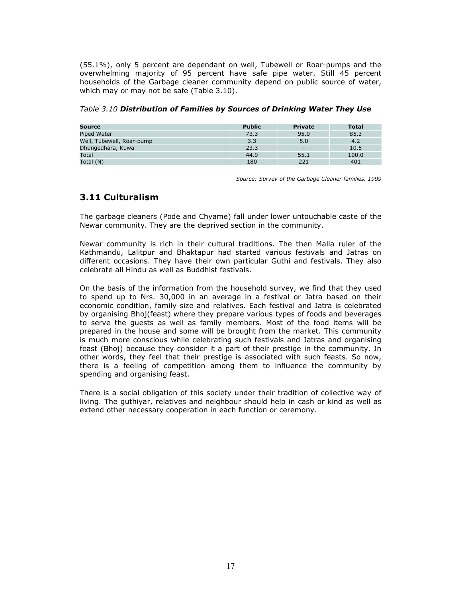(55.1%), only 5 percent are dependant on well, Tubewell or Roar-pumps and the overwhelming majority of 95 percent have safe pipe water. Still 45 percent households of the Garbage cleaner community depend on public source of water, which may or may not be safe (Table 3.10).

| Source      | <b>Public</b> | Private | Total |
|-------------|---------------|---------|-------|
| Piped Water | ר רד<br>      | 95.0    | 85.5  |

Well, Tubewell, Roar-pump 3.3 5.0 4.2 Dhungedhara, Kuwa 23.3 - 10.5 Total  $44.9$  55.1 100.0  $100.0$ Total (N) 180 221 401

Table 3.10 Distribution of Families by Sources of Drinking Water They Use

Source: Survey of the Garbage Cleaner families, 1999

### 3.11 Culturalism

The garbage cleaners (Pode and Chyame) fall under lower untouchable caste of the Newar community. They are the deprived section in the community.

Newar community is rich in their cultural traditions. The then Malla ruler of the Kathmandu, Lalitpur and Bhaktapur had started various festivals and Jatras on different occasions. They have their own particular Guthi and festivals. They also celebrate all Hindu as well as Buddhist festivals.

On the basis of the information from the household survey, we find that they used to spend up to Nrs. 30,000 in an average in a festival or Jatra based on their economic condition, family size and relatives. Each festival and Jatra is celebrated by organising Bhoj(feast) where they prepare various types of foods and beverages to serve the guests as well as family members. Most of the food items will be prepared in the house and some will be brought from the market. This community is much more conscious while celebrating such festivals and Jatras and organising feast (Bhoj) because they consider it a part of their prestige in the community. In other words, they feel that their prestige is associated with such feasts. So now, there is a feeling of competition among them to influence the community by spending and organising feast.

There is a social obligation of this society under their tradition of collective way of living. The guthiyar, relatives and neighbour should help in cash or kind as well as extend other necessary cooperation in each function or ceremony.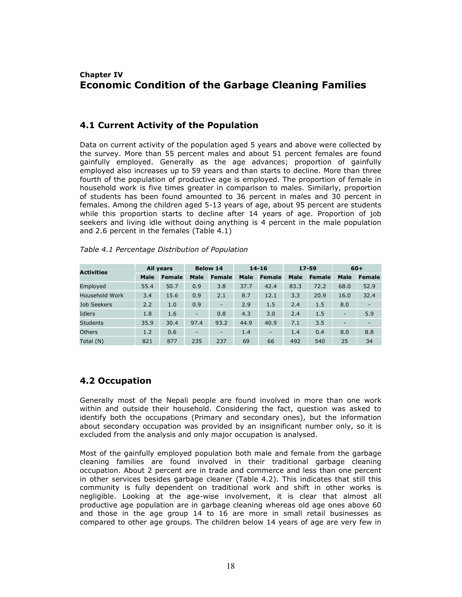# Chapter IV Economic Condition of the Garbage Cleaning Families

### 4.1 Current Activity of the Population

Data on current activity of the population aged 5 years and above were collected by the survey. More than 55 percent males and about 51 percent females are found gainfully employed. Generally as the age advances; proportion of gainfully employed also increases up to 59 years and than starts to decline. More than three fourth of the population of productive age is employed. The proportion of female in household work is five times greater in comparison to males. Similarly, proportion of students has been found amounted to 36 percent in males and 30 percent in females. Among the children aged 5-13 years of age, about 95 percent are students while this proportion starts to decline after 14 years of age. Proportion of job seekers and living idle without doing anything is 4 percent in the male population and 2.6 percent in the females (Table 4.1)

| <b>Activities</b> | All years |               | <b>Below 14</b>          |                          | $14 - 16$   |               | $17 - 59$ |               | $60+$                    |               |
|-------------------|-----------|---------------|--------------------------|--------------------------|-------------|---------------|-----------|---------------|--------------------------|---------------|
|                   | Male      | <b>Female</b> | Male                     | Female                   | <b>Male</b> | <b>Female</b> | Male      | <b>Female</b> | <b>Male</b>              | <b>Female</b> |
| Employed          | 55.4      | 50.7          | 0.9                      | 3.8                      | 37.7        | 42.4          | 83.3      | 72.2          | 68.0                     | 52.9          |
| Household Work    | 3.4       | 15.6          | 0.9                      | 2.1                      | 8.7         | 12.1          | 3.3       | 20.9          | 16.0                     | 32.4          |
| Job Seekers       | 2.2       | 1.0           | 0.9                      | $\overline{\phantom{a}}$ | 2.9         | 1.5           | 2.4       | 1.5           | 8.0                      |               |
| Idlers            | 1.8       | 1.6           | $\overline{\phantom{0}}$ | 0.8                      | 4.3         | 3.0           | 2.4       | 1.5           | $\overline{\phantom{0}}$ | 5.9           |
| <b>Students</b>   | 35.9      | 30.4          | 97.4                     | 93.2                     | 44.9        | 40.9          | 7.1       | 3.5           |                          |               |
| <b>Others</b>     | 1.2       | 0.6           | $\overline{\phantom{a}}$ | ٠                        | 1.4         | ٠             | 1.4       | 0.4           | 8.0                      | 8.8           |
| Total (N)         | 821       | 877           | 235                      | 237                      | 69          | 66            | 492       | 540           | 25                       | 34            |

#### Table 4.1 Percentage Distribution of Population

### 4.2 Occupation

Generally most of the Nepali people are found involved in more than one work within and outside their household. Considering the fact, question was asked to identify both the occupations (Primary and secondary ones), but the information about secondary occupation was provided by an insignificant number only, so it is excluded from the analysis and only major occupation is analysed.

Most of the gainfully employed population both male and female from the garbage cleaning families are found involved in their traditional garbage cleaning occupation. About 2 percent are in trade and commerce and less than one percent in other services besides garbage cleaner (Table 4.2). This indicates that still this community is fully dependent on traditional work and shift in other works is negligible. Looking at the age-wise involvement, it is clear that almost all productive age population are in garbage cleaning whereas old age ones above 60 and those in the age group 14 to 16 are more in small retail businesses as compared to other age groups. The children below 14 years of age are very few in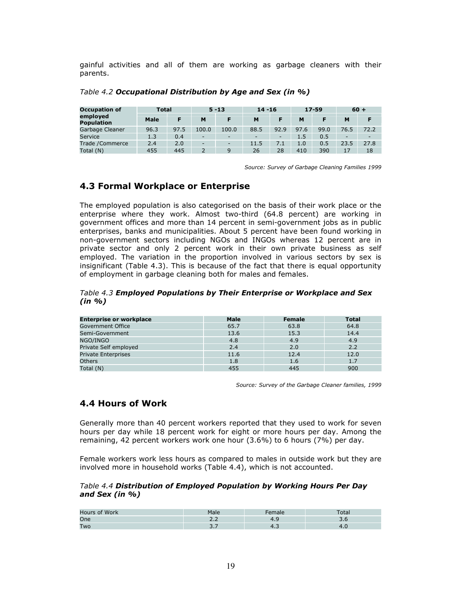gainful activities and all of them are working as garbage cleaners with their parents.

| <b>Occupation of</b>          | Total       |      |                          | $5 - 13$                 | $14 - 16$ |      |      | $17 - 59$ |                          | $60 +$ |
|-------------------------------|-------------|------|--------------------------|--------------------------|-----------|------|------|-----------|--------------------------|--------|
| employed<br><b>Population</b> | <b>Male</b> |      | M                        |                          | м         |      | M    |           | M                        |        |
| Garbage Cleaner               | 96.3        | 97.5 | 100.0                    | 100.0                    | 88.5      | 92.9 | 97.6 | 99.0      | 76.5                     | 72.2   |
| Service                       | 1.3         | 0.4  | $\overline{\phantom{a}}$ | $\overline{\phantom{a}}$ |           |      | 1.5  | 0.5       | $\overline{\phantom{0}}$ |        |
| Trade /Commerce               | 2.4         | 2.0  | $\overline{\phantom{0}}$ | $\sim$                   | 11.5      | 7.1  | 1.0  | 0.5       | 23.5                     | 27.8   |
| Total (N)                     | 455         | 445  |                          |                          | 26        | 28   | 410  | 390       | 17                       | 18     |

Table 4.2 Occupational Distribution by Age and Sex (in %)

Source: Survey of Garbage Cleaning Families 1999

# 4.3 Formal Workplace or Enterprise

The employed population is also categorised on the basis of their work place or the enterprise where they work. Almost two-third (64.8 percent) are working in government offices and more than 14 percent in semi-government jobs as in public enterprises, banks and municipalities. About 5 percent have been found working in non-government sectors including NGOs and INGOs whereas 12 percent are in private sector and only 2 percent work in their own private business as self employed. The variation in the proportion involved in various sectors by sex is insignificant (Table 4.3). This is because of the fact that there is equal opportunity of employment in garbage cleaning both for males and females.

Table 4.3 Employed Populations by Their Enterprise or Workplace and Sex (in %)

| <b>Enterprise or workplace</b> | Male | <b>Female</b> | Total |
|--------------------------------|------|---------------|-------|
| Government Office              | 65.7 | 63.8          | 64.8  |
| Semi-Government                | 13.6 | 15.3          | 14.4  |
| NGO/INGO                       | 4.8  | 4.9           | 4.9   |
| Private Self employed          | 2.4  | 2.0           | 2.2   |
| <b>Private Enterprises</b>     | 11.6 | 12.4          | 12.0  |
| <b>Others</b>                  | 1.8  | 1.6           | 1.7   |
| Total (N)                      | 455  | 445           | 900   |

Source: Survey of the Garbage Cleaner families, 1999

### 4.4 Hours of Work

Generally more than 40 percent workers reported that they used to work for seven hours per day while 18 percent work for eight or more hours per day. Among the remaining, 42 percent workers work one hour (3.6%) to 6 hours (7%) per day.

Female workers work less hours as compared to males in outside work but they are involved more in household works (Table 4.4), which is not accounted.

#### Table 4.4 Distribution of Employed Population by Working Hours Per Day and Sex (in %)

| Hours of Work | Male | Tale | oldi |
|---------------|------|------|------|
| One           |      |      |      |
| Two           |      |      |      |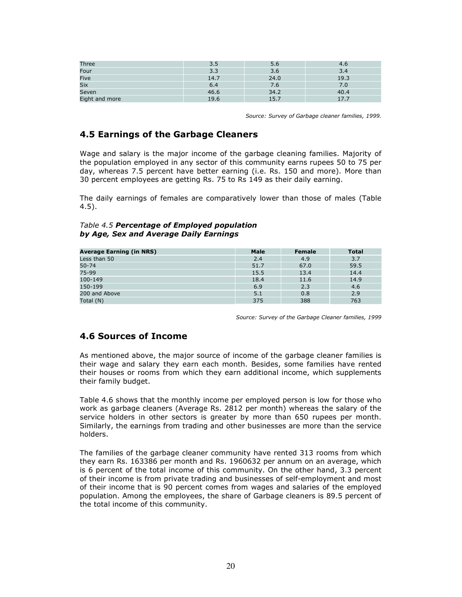| Three          | 3.5  | 5.6  |               |
|----------------|------|------|---------------|
| Four           | 3.3  | 3.6  | 3.4           |
| Five           | 14.7 | 24.0 | 19.3          |
| <b>Six</b>     | b.4  | 7.6  | $7.0^{\circ}$ |
| Seven          | 46.6 | 34.2 | 40.4          |
| Eight and more | 19.6 | 15.7 | 17.7          |

Source: Survey of Garbage cleaner families, 1999.

### 4.5 Earnings of the Garbage Cleaners

Wage and salary is the major income of the garbage cleaning families. Majority of the population employed in any sector of this community earns rupees 50 to 75 per day, whereas 7.5 percent have better earning (i.e. Rs. 150 and more). More than 30 percent employees are getting Rs. 75 to Rs 149 as their daily earning.

The daily earnings of females are comparatively lower than those of males (Table 4.5).

#### Table 4.5 Percentage of Employed population by Age, Sex and Average Daily Earnings

| <b>Average Earning (in NRS)</b> | <b>Male</b> | Female | <b>Total</b> |
|---------------------------------|-------------|--------|--------------|
| Less than 50                    | 2.4         | 4.9    | 3.7          |
| $50 - 74$                       | 51.7        | 67.0   | 59.5         |
| 75-99                           | 15.5        | 13.4   | 14.4         |
| 100-149                         | 18.4        | 11.6   | 14.9         |
| 150-199                         | 6.9         | 2.3    | 4.6          |
| 200 and Above                   | 5.1         | 0.8    | 2.9          |
| Total (N)                       | 375         | 388    | 763          |

Source: Survey of the Garbage Cleaner families, 1999

### 4.6 Sources of Income

As mentioned above, the major source of income of the garbage cleaner families is their wage and salary they earn each month. Besides, some families have rented their houses or rooms from which they earn additional income, which supplements their family budget.

Table 4.6 shows that the monthly income per employed person is low for those who work as garbage cleaners (Average Rs. 2812 per month) whereas the salary of the service holders in other sectors is greater by more than 650 rupees per month. Similarly, the earnings from trading and other businesses are more than the service holders.

The families of the garbage cleaner community have rented 313 rooms from which they earn Rs. 163386 per month and Rs. 1960632 per annum on an average, which is 6 percent of the total income of this community. On the other hand, 3.3 percent of their income is from private trading and businesses of self-employment and most of their income that is 90 percent comes from wages and salaries of the employed population. Among the employees, the share of Garbage cleaners is 89.5 percent of the total income of this community.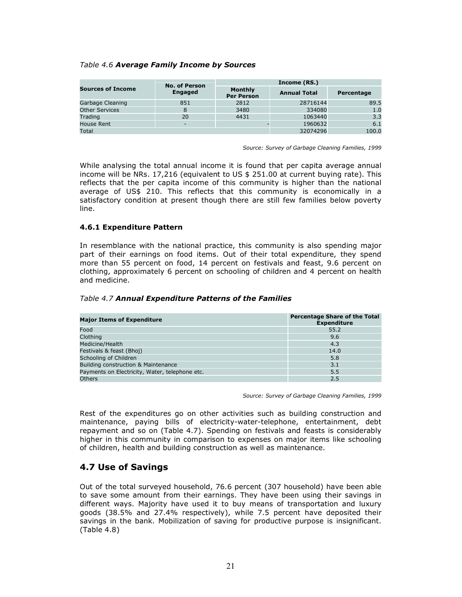#### Table 4.6 Average Family Income by Sources

|                          | <b>No. of Person</b>     |                                     | Income (RS.)        |            |
|--------------------------|--------------------------|-------------------------------------|---------------------|------------|
| <b>Sources of Income</b> | <b>Engaged</b>           | <b>Monthly</b><br><b>Per Person</b> | <b>Annual Total</b> | Percentage |
| Garbage Cleaning         | 851                      | 2812                                | 28716144            | 89.5       |
| <b>Other Services</b>    | 8                        | 3480                                | 334080              | 1.0        |
| Trading                  | 20                       | 4431                                | 1063440             | 3.3        |
| House Rent               | $\overline{\phantom{0}}$ |                                     | 1960632             | 6.1        |
| Total                    |                          |                                     | 32074296            | 100.0      |

Source: Survey of Garbage Cleaning Families, 1999

While analysing the total annual income it is found that per capita average annual income will be NRs. 17,216 (equivalent to US \$ 251.00 at current buying rate). This reflects that the per capita income of this community is higher than the national average of US\$ 210. This reflects that this community is economically in a satisfactory condition at present though there are still few families below poverty line.

#### 4.6.1 Expenditure Pattern

In resemblance with the national practice, this community is also spending major part of their earnings on food items. Out of their total expenditure, they spend more than 55 percent on food, 14 percent on festivals and feast, 9.6 percent on clothing, approximately 6 percent on schooling of children and 4 percent on health and medicine.

| <b>Major Items of Expenditure</b>              | <b>Percentage Share of the Total</b><br><b>Expenditure</b> |
|------------------------------------------------|------------------------------------------------------------|
| Food                                           | 55.2                                                       |
| Clothing                                       | 9.6                                                        |
| Medicine/Health                                | 4.3                                                        |
| Festivals & feast (Bhoj)                       | 14.0                                                       |
| Schooling of Children                          | 5.8                                                        |
| Building construction & Maintenance            | 3.1                                                        |
| Payments on Electricity, Water, telephone etc. | 5.5                                                        |

Others 2.5

#### Table 4.7 Annual Expenditure Patterns of the Families

Source: Survey of Garbage Cleaning Families, 1999

Rest of the expenditures go on other activities such as building construction and maintenance, paying bills of electricity-water-telephone, entertainment, debt repayment and so on (Table 4.7). Spending on festivals and feasts is considerably higher in this community in comparison to expenses on major items like schooling of children, health and building construction as well as maintenance.

### 4.7 Use of Savings

Out of the total surveyed household, 76.6 percent (307 household) have been able to save some amount from their earnings. They have been using their savings in different ways. Majority have used it to buy means of transportation and luxury goods (38.5% and 27.4% respectively), while 7.5 percent have deposited their savings in the bank. Mobilization of saving for productive purpose is insignificant. (Table 4.8)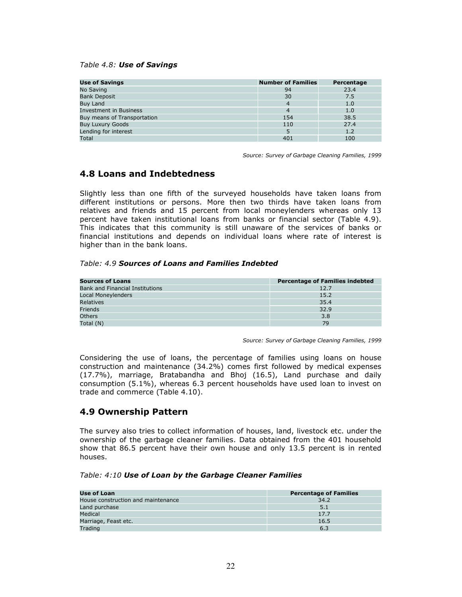#### Table 4.8: Use of Savings

| <b>Use of Savings</b>         | <b>Number of Families</b> | Percentage |
|-------------------------------|---------------------------|------------|
| No Saving                     | 94                        | 23.4       |
| <b>Bank Deposit</b>           | 30                        | 7.5        |
| Buy Land                      | 4                         | 1.0        |
| <b>Investment in Business</b> | 4                         | 1.0        |
| Buy means of Transportation   | 154                       | 38.5       |
| <b>Buy Luxury Goods</b>       | 110                       | 27.4       |
| Lending for interest          | 5                         | 1.2        |
| Total                         | 401                       | 100        |

Source: Survey of Garbage Cleaning Families, 1999

### 4.8 Loans and Indebtedness

Slightly less than one fifth of the surveyed households have taken loans from different institutions or persons. More then two thirds have taken loans from relatives and friends and 15 percent from local moneylenders whereas only 13 percent have taken institutional loans from banks or financial sector (Table 4.9). This indicates that this community is still unaware of the services of banks or financial institutions and depends on individual loans where rate of interest is higher than in the bank loans.

#### Table: 4.9 Sources of Loans and Families Indebted

| <b>Sources of Loans</b>                | <b>Percentage of Families indebted</b> |
|----------------------------------------|----------------------------------------|
| <b>Bank and Financial Institutions</b> | 12.7                                   |
| Local Moneylenders                     | 15.2                                   |
| Relatives                              | 35.4                                   |
| Friends                                | 32.9                                   |
| <b>Others</b>                          | 3.8                                    |
| Total (N)                              | 79                                     |

Source: Survey of Garbage Cleaning Families, 1999

Considering the use of loans, the percentage of families using loans on house construction and maintenance (34.2%) comes first followed by medical expenses (17.7%), marriage, Bratabandha and Bhoj (16.5), Land purchase and daily consumption (5.1%), whereas 6.3 percent households have used loan to invest on trade and commerce (Table 4.10).

### 4.9 Ownership Pattern

The survey also tries to collect information of houses, land, livestock etc. under the ownership of the garbage cleaner families. Data obtained from the 401 household show that 86.5 percent have their own house and only 13.5 percent is in rented houses.

Table: 4:10 Use of Loan by the Garbage Cleaner Families

| <b>Use of Loan</b>                 | <b>Percentage of Families</b> |
|------------------------------------|-------------------------------|
| House construction and maintenance | 34.2                          |
| Land purchase                      | 5.1                           |
| Medical                            | 17.7                          |
| Marriage, Feast etc.               | 16.5                          |
| Trading                            | 6.3                           |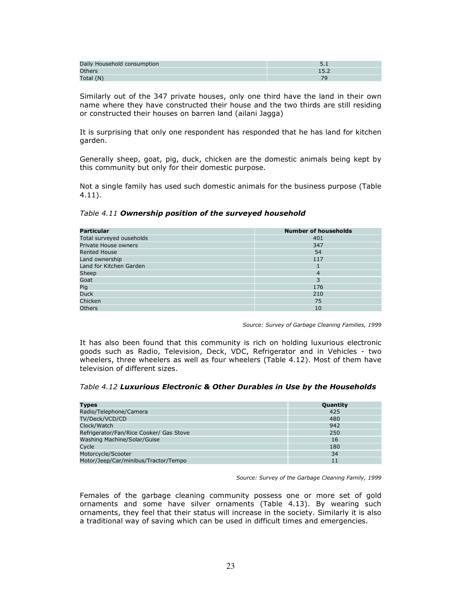| Daily Household consumption |  |
|-----------------------------|--|
| <b>Others</b>               |  |
| Total (N)                   |  |

Similarly out of the 347 private houses, only one third have the land in their own name where they have constructed their house and the two thirds are still residing or constructed their houses on barren land (ailani Jagga)

It is surprising that only one respondent has responded that he has land for kitchen garden.

Generally sheep, goat, pig, duck, chicken are the domestic animals being kept by this community but only for their domestic purpose.

Not a single family has used such domestic animals for the business purpose (Table 4.11).

| <b>Particular</b>        | <b>Number of households</b> |
|--------------------------|-----------------------------|
| Total surveyed ouseholds | 401                         |
| Private House owners     | 347                         |
| <b>Rented House</b>      | 54                          |
| Land ownership           | 117                         |
| Land for Kitchen Garden  |                             |
| Sheep                    | 4                           |
| Goat                     | 3                           |
| Pig                      | 176                         |
| <b>Duck</b>              | 210                         |
| Chicken                  | 75                          |
| <b>Others</b>            | 10                          |

Table 4.11 Ownership position of the surveyed household

Source: Survey of Garbage Cleaning Families, 1999

It has also been found that this community is rich on holding luxurious electronic goods such as Radio, Television, Deck, VDC, Refrigerator and in Vehicles - two wheelers, three wheelers as well as four wheelers (Table 4.12). Most of them have television of different sizes.

Table 4.12 Luxurious Electronic & Other Durables in Use by the Households

| <b>Types</b>                            | Quantity |
|-----------------------------------------|----------|
| Radio/Telephone/Camera                  | 425      |
| TV/Deck/VCD/CD                          | 480      |
| Clock/Watch                             | 942      |
| Refrigerator/Fan/Rice Cooker/ Gas Stove | 250      |
| Washing Machine/Solar/Guise             | 16       |
| Cycle                                   | 180      |
| Motorcycle/Scooter                      | 34       |
| Motor/Jeep/Car/minibus/Tractor/Tempo    |          |

Source: Survey of the Garbage Cleaning Family, 1999

Females of the garbage cleaning community possess one or more set of gold ornaments and some have silver ornaments (Table 4.13). By wearing such ornaments, they feel that their status will increase in the society. Similarly it is also a traditional way of saving which can be used in difficult times and emergencies.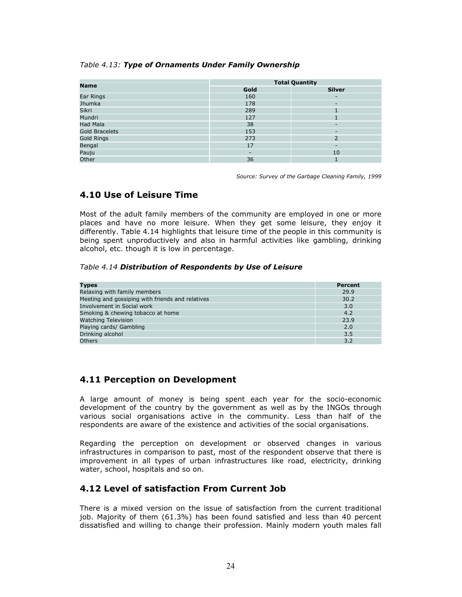#### Table 4.13: Type of Ornaments Under Family Ownership

| <b>Name</b>           | <b>Total Quantity</b>    |                          |  |
|-----------------------|--------------------------|--------------------------|--|
|                       | Gold                     | <b>Silver</b>            |  |
| Ear Rings             | 160                      | -                        |  |
| Jhumka                | 178                      | ٠                        |  |
| Sikri                 | 289                      |                          |  |
| Mundri                | 127                      |                          |  |
| Had Mala              | 38                       | $\overline{\phantom{a}}$ |  |
| <b>Gold Bracelets</b> | 153                      | $\overline{\phantom{a}}$ |  |
| <b>Gold Rings</b>     | 273                      | $\overline{2}$           |  |
| Bengal                | 17                       | $\overline{\phantom{a}}$ |  |
| Pauju                 | $\overline{\phantom{0}}$ | 10                       |  |
| Other                 | 36                       |                          |  |

Source: Survey of the Garbage Cleaning Family, 1999

### 4.10 Use of Leisure Time

Most of the adult family members of the community are employed in one or more places and have no more leisure. When they get some leisure, they enjoy it differently. Table 4.14 highlights that leisure time of the people in this community is being spent unproductively and also in harmful activities like gambling, drinking alcohol, etc. though it is low in percentage.

#### Table 4.14 Distribution of Respondents by Use of Leisure

| <b>Types</b>                                     | Percent |
|--------------------------------------------------|---------|
| Relaxing with family members                     | 29.9    |
| Meeting and gossiping with friends and relatives | 30.2    |
| Involvement in Social work                       | 3.0     |
| Smoking & chewing tobacco at home                | 4.2     |
| <b>Watching Television</b>                       | 23.9    |
| Playing cards/ Gambling                          | 2.0     |
| Drinking alcohol                                 | 3.5     |
| <b>Others</b>                                    | 3.2     |

### 4.11 Perception on Development

A large amount of money is being spent each year for the socio-economic development of the country by the government as well as by the INGOs through various social organisations active in the community. Less than half of the respondents are aware of the existence and activities of the social organisations.

Regarding the perception on development or observed changes in various infrastructures in comparison to past, most of the respondent observe that there is improvement in all types of urban infrastructures like road, electricity, drinking water, school, hospitals and so on.

### 4.12 Level of satisfaction From Current Job

There is a mixed version on the issue of satisfaction from the current traditional job. Majority of them (61.3%) has been found satisfied and less than 40 percent dissatisfied and willing to change their profession. Mainly modern youth males fall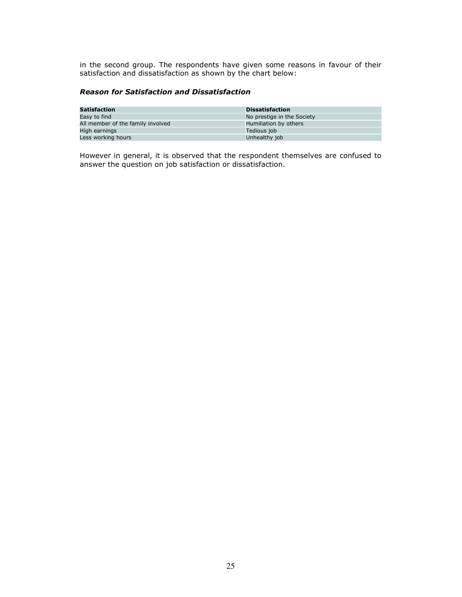in the second group. The respondents have given some reasons in favour of their satisfaction and dissatisfaction as shown by the chart below:

### Reason for Satisfaction and Dissatisfaction

| Satisfaction                      | <b>Dissatisfaction</b>     |
|-----------------------------------|----------------------------|
| Easy to find                      | No prestige in the Society |
| All member of the family involved | Humiliation by others      |
| High earnings                     | Tedious job                |
| Less working hours                | Unhealthy job              |

However in general, it is observed that the respondent themselves are confused to answer the question on job satisfaction or dissatisfaction.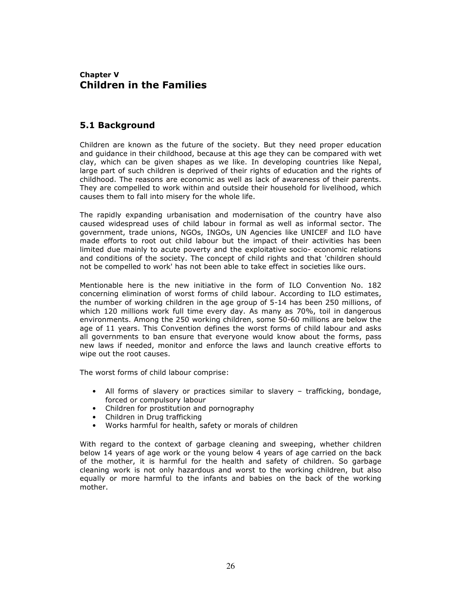## Chapter V Children in the Families

### 5.1 Background

Children are known as the future of the society. But they need proper education and guidance in their childhood, because at this age they can be compared with wet clay, which can be given shapes as we like. In developing countries like Nepal, large part of such children is deprived of their rights of education and the rights of childhood. The reasons are economic as well as lack of awareness of their parents. They are compelled to work within and outside their household for livelihood, which causes them to fall into misery for the whole life.

The rapidly expanding urbanisation and modernisation of the country have also caused widespread uses of child labour in formal as well as informal sector. The government, trade unions, NGOs, INGOs, UN Agencies like UNICEF and ILO have made efforts to root out child labour but the impact of their activities has been limited due mainly to acute poverty and the exploitative socio- economic relations and conditions of the society. The concept of child rights and that 'children should not be compelled to work' has not been able to take effect in societies like ours.

Mentionable here is the new initiative in the form of ILO Convention No. 182 concerning elimination of worst forms of child labour. According to ILO estimates, the number of working children in the age group of 5-14 has been 250 millions, of which 120 millions work full time every day. As many as 70%, toil in dangerous environments. Among the 250 working children, some 50-60 millions are below the age of 11 years. This Convention defines the worst forms of child labour and asks all governments to ban ensure that everyone would know about the forms, pass new laws if needed, monitor and enforce the laws and launch creative efforts to wipe out the root causes.

The worst forms of child labour comprise:

- All forms of slavery or practices similar to slavery trafficking, bondage, forced or compulsory labour
- Children for prostitution and pornography
- Children in Drug trafficking
- Works harmful for health, safety or morals of children

With regard to the context of garbage cleaning and sweeping, whether children below 14 years of age work or the young below 4 years of age carried on the back of the mother, it is harmful for the health and safety of children. So garbage cleaning work is not only hazardous and worst to the working children, but also equally or more harmful to the infants and babies on the back of the working mother.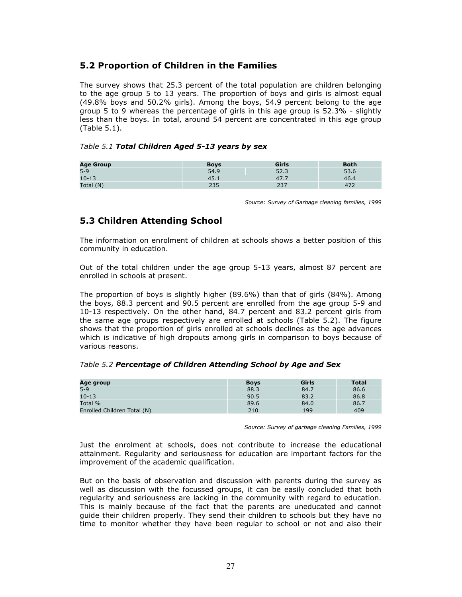### 5.2 Proportion of Children in the Families

The survey shows that 25.3 percent of the total population are children belonging to the age group 5 to 13 years. The proportion of boys and girls is almost equal (49.8% boys and 50.2% girls). Among the boys, 54.9 percent belong to the age group 5 to 9 whereas the percentage of girls in this age group is 52.3% - slightly less than the boys. In total, around 54 percent are concentrated in this age group (Table 5.1).

#### Table 5.1 Total Children Aged 5-13 years by sex

| <b>Age Group</b> | <b>Boys</b> | Girls        | <b>Both</b> |
|------------------|-------------|--------------|-------------|
| $5-9$            | 54.9        | ר ה<br>د. ےر | 53.6        |
| $10 - 13$        | 45.1        | 4/7.7        | 46.4        |
| Total (N)        |             | ، بے         |             |

Source: Survey of Garbage cleaning families, 1999

### 5.3 Children Attending School

The information on enrolment of children at schools shows a better position of this community in education.

Out of the total children under the age group 5-13 years, almost 87 percent are enrolled in schools at present.

The proportion of boys is slightly higher (89.6%) than that of girls (84%). Among the boys, 88.3 percent and 90.5 percent are enrolled from the age group 5-9 and 10-13 respectively. On the other hand, 84.7 percent and 83.2 percent girls from the same age groups respectively are enrolled at schools (Table 5.2). The figure shows that the proportion of girls enrolled at schools declines as the age advances which is indicative of high dropouts among girls in comparison to boys because of various reasons.

#### Table 5.2 Percentage of Children Attending School by Age and Sex

| Age group                   | <b>Boys</b> | Girls | <b>Total</b> |
|-----------------------------|-------------|-------|--------------|
| $5 - 9$                     | 88.3        | 84.7  | 86.6         |
| $10 - 13$                   | 90.5        | 83.2  | 86.8         |
| Total %                     | 89.6        | 84.0  | 86.7         |
| Enrolled Children Total (N) | 210         | 199   | 409          |

Source: Survey of garbage cleaning Families, 1999

Just the enrolment at schools, does not contribute to increase the educational attainment. Regularity and seriousness for education are important factors for the improvement of the academic qualification.

But on the basis of observation and discussion with parents during the survey as well as discussion with the focussed groups, it can be easily concluded that both regularity and seriousness are lacking in the community with regard to education. This is mainly because of the fact that the parents are uneducated and cannot guide their children properly. They send their children to schools but they have no time to monitor whether they have been regular to school or not and also their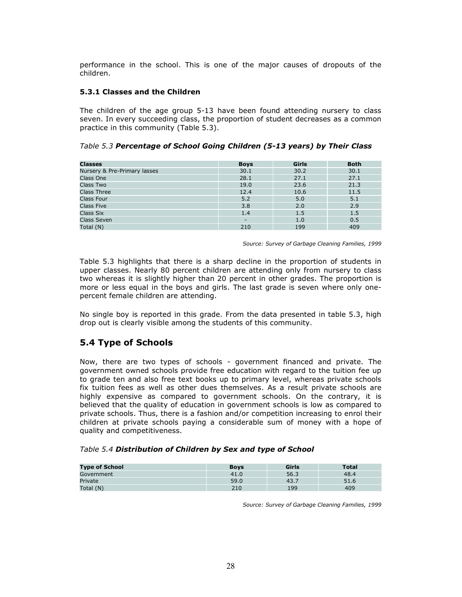performance in the school. This is one of the major causes of dropouts of the children.

#### 5.3.1 Classes and the Children

The children of the age group 5-13 have been found attending nursery to class seven. In every succeeding class, the proportion of student decreases as a common practice in this community (Table 5.3).

| <b>Classes</b>               | <b>Boys</b>              | Girls | <b>Both</b> |
|------------------------------|--------------------------|-------|-------------|
| Nursery & Pre-Primary lasses | 30.1                     | 30.2  | 30.1        |
| Class One                    | 28.1                     | 27.1  | 27.1        |
| Class Two                    | 19.0                     | 23.6  | 21.3        |
| <b>Class Three</b>           | 12.4                     | 10.6  | 11.5        |
| <b>Class Four</b>            | 5.2                      | 5.0   | 5.1         |
| <b>Class Five</b>            | 3.8                      | 2.0   | 2.9         |
| Class Six                    | 1.4                      | 1.5   | 1.5         |
| <b>Class Seven</b>           | $\overline{\phantom{0}}$ | 1.0   | 0.5         |
| Total (N)                    | 210                      | 199   | 409         |

Source: Survey of Garbage Cleaning Families, 1999

Table 5.3 highlights that there is a sharp decline in the proportion of students in upper classes. Nearly 80 percent children are attending only from nursery to class two whereas it is slightly higher than 20 percent in other grades. The proportion is more or less equal in the boys and girls. The last grade is seven where only onepercent female children are attending.

No single boy is reported in this grade. From the data presented in table 5.3, high drop out is clearly visible among the students of this community.

# 5.4 Type of Schools

Now, there are two types of schools - government financed and private. The government owned schools provide free education with regard to the tuition fee up to grade ten and also free text books up to primary level, whereas private schools fix tuition fees as well as other dues themselves. As a result private schools are highly expensive as compared to government schools. On the contrary, it is believed that the quality of education in government schools is low as compared to private schools. Thus, there is a fashion and/or competition increasing to enrol their children at private schools paying a considerable sum of money with a hope of quality and competitiveness.

| Table 5.4 Distribution of Children by Sex and type of School |  |
|--------------------------------------------------------------|--|
|--------------------------------------------------------------|--|

| <b>Type of School</b> | <b>Boys</b> | Girls   | <b>Total</b> |
|-----------------------|-------------|---------|--------------|
| Government            | 41.0        | 56.3    | 48.4         |
| Private               | 59.0        | $-43.7$ | 51.6         |
| Total (N)             | 210         | 199     | 409          |

Source: Survey of Garbage Cleaning Families, 1999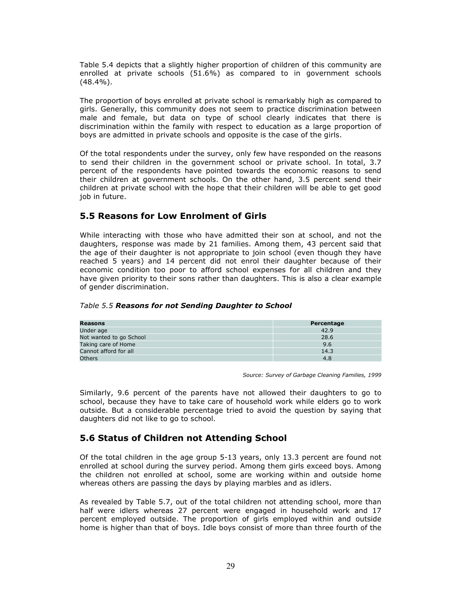Table 5.4 depicts that a slightly higher proportion of children of this community are enrolled at private schools (51.6%) as compared to in government schools (48.4%).

The proportion of boys enrolled at private school is remarkably high as compared to girls. Generally, this community does not seem to practice discrimination between male and female, but data on type of school clearly indicates that there is discrimination within the family with respect to education as a large proportion of boys are admitted in private schools and opposite is the case of the girls.

Of the total respondents under the survey, only few have responded on the reasons to send their children in the government school or private school. In total, 3.7 percent of the respondents have pointed towards the economic reasons to send their children at government schools. On the other hand, 3.5 percent send their children at private school with the hope that their children will be able to get good iob in future.

### 5.5 Reasons for Low Enrolment of Girls

While interacting with those who have admitted their son at school, and not the daughters, response was made by 21 families. Among them, 43 percent said that the age of their daughter is not appropriate to join school (even though they have reached 5 years) and 14 percent did not enrol their daughter because of their economic condition too poor to afford school expenses for all children and they have given priority to their sons rather than daughters. This is also a clear example of gender discrimination.

|  |  |  |  |  | Table 5.5 Reasons for not Sending Daughter to School |
|--|--|--|--|--|------------------------------------------------------|
|--|--|--|--|--|------------------------------------------------------|

| Reasons                 | Percentage |
|-------------------------|------------|
| Under age               | 42.9       |
| Not wanted to go School | 28.6       |
| Taking care of Home     | 9.6        |
| Cannot afford for all   | 14.3       |
| <b>Others</b>           | 4.8        |

Source: Survey of Garbage Cleaning Families, 1999

Similarly, 9.6 percent of the parents have not allowed their daughters to go to school, because they have to take care of household work while elders go to work outside. But a considerable percentage tried to avoid the question by saying that daughters did not like to go to school.

### 5.6 Status of Children not Attending School

Of the total children in the age group 5-13 years, only 13.3 percent are found not enrolled at school during the survey period. Among them girls exceed boys. Among the children not enrolled at school, some are working within and outside home whereas others are passing the days by playing marbles and as idlers.

As revealed by Table 5.7, out of the total children not attending school, more than half were idlers whereas 27 percent were engaged in household work and 17 percent employed outside. The proportion of girls employed within and outside home is higher than that of boys. Idle boys consist of more than three fourth of the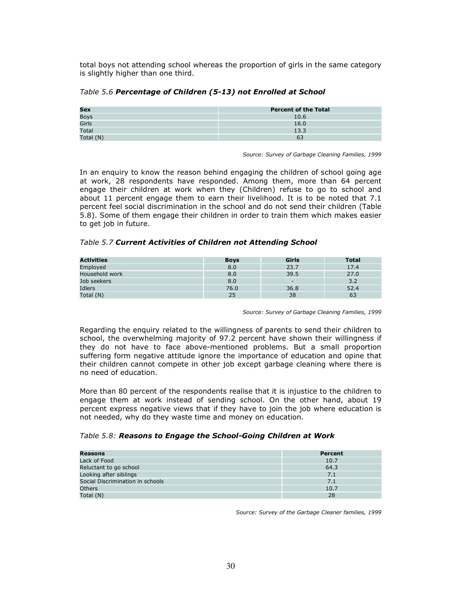total boys not attending school whereas the proportion of girls in the same category is slightly higher than one third.

| Table 5.6 Percentage of Children (5-13) not Enrolled at School |  |
|----------------------------------------------------------------|--|
|----------------------------------------------------------------|--|

| Sex         | <b>Percent of the Total</b> |
|-------------|-----------------------------|
| <b>Boys</b> | 10.6                        |
| Girls       | 16.0                        |
| Total       | 13.3                        |
| Total (N)   | 63                          |

Source: Survey of Garbage Cleaning Families, 1999

In an enquiry to know the reason behind engaging the children of school going age at work, 28 respondents have responded. Among them, more than 64 percent engage their children at work when they (Children) refuse to go to school and about 11 percent engage them to earn their livelihood. It is to be noted that 7.1 percent feel social discrimination in the school and do not send their children (Table 5.8). Some of them engage their children in order to train them which makes easier to get job in future.

#### Table 5.7 Current Activities of Children not Attending School

| <b>Activities</b> | <b>Boys</b> | Girls                    | <b>Total</b> |
|-------------------|-------------|--------------------------|--------------|
| Employed          | 8.0         | 23.7                     | 17.4         |
| Household work    | 8.0         | 39.5                     | 27.0         |
| Job seekers       | 8.0         | $\overline{\phantom{a}}$ | 3.2          |
| Idlers            | 76.0        | 36.8                     | 52.4         |
| Total (N)         | 25          | 38                       | 63           |

Source: Survey of Garbage Cleaning Families, 1999

Regarding the enquiry related to the willingness of parents to send their children to school, the overwhelming majority of 97.2 percent have shown their willingness if they do not have to face above-mentioned problems. But a small proportion suffering form negative attitude ignore the importance of education and opine that their children cannot compete in other job except garbage cleaning where there is no need of education.

More than 80 percent of the respondents realise that it is injustice to the children to engage them at work instead of sending school. On the other hand, about 19 percent express negative views that if they have to join the job where education is not needed, why do they waste time and money on education.

#### Table 5.8: Reasons to Engage the School-Going Children at Work

| Reasons                          | Percent |
|----------------------------------|---------|
| Lack of Food                     | 10.7    |
| Reluctant to go school           | 64.3    |
| Looking after siblings           | 7.1     |
| Social Discrimination in schools | 7.1     |
| <b>Others</b>                    | 10.7    |
| Total (N)                        | 28      |

Source: Survey of the Garbage Cleaner families, 1999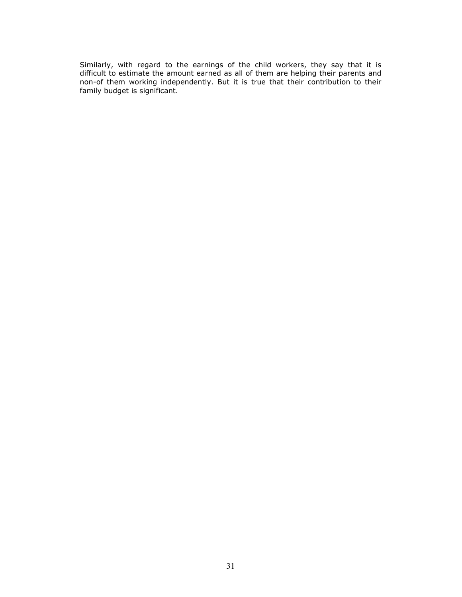Similarly, with regard to the earnings of the child workers, they say that it is difficult to estimate the amount earned as all of them are helping their parents and non-of them working independently. But it is true that their contribution to their family budget is significant.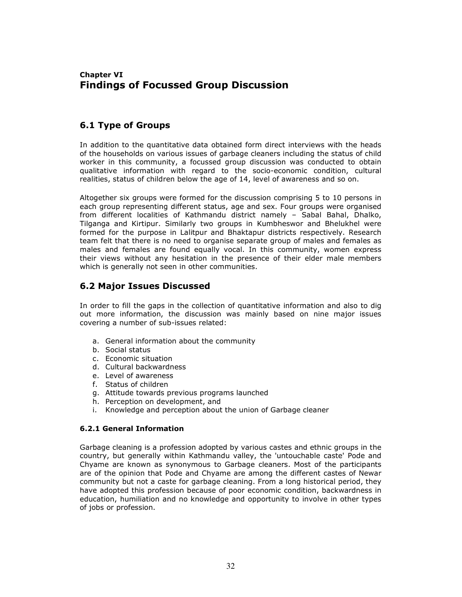## Chapter VI Findings of Focussed Group Discussion

## 6.1 Type of Groups

In addition to the quantitative data obtained form direct interviews with the heads of the households on various issues of garbage cleaners including the status of child worker in this community, a focussed group discussion was conducted to obtain qualitative information with regard to the socio-economic condition, cultural realities, status of children below the age of 14, level of awareness and so on.

Altogether six groups were formed for the discussion comprising 5 to 10 persons in each group representing different status, age and sex. Four groups were organised from different localities of Kathmandu district namely – Sabal Bahal, Dhalko, Tilganga and Kirtipur. Similarly two groups in Kumbheswor and Bhelukhel were formed for the purpose in Lalitpur and Bhaktapur districts respectively. Research team felt that there is no need to organise separate group of males and females as males and females are found equally vocal. In this community, women express their views without any hesitation in the presence of their elder male members which is generally not seen in other communities.

### 6.2 Major Issues Discussed

In order to fill the gaps in the collection of quantitative information and also to dig out more information, the discussion was mainly based on nine major issues covering a number of sub-issues related:

- a. General information about the community
- b. Social status
- c. Economic situation
- d. Cultural backwardness
- e. Level of awareness
- f. Status of children
- g. Attitude towards previous programs launched
- h. Perception on development, and
- i. Knowledge and perception about the union of Garbage cleaner

### 6.2.1 General Information

Garbage cleaning is a profession adopted by various castes and ethnic groups in the country, but generally within Kathmandu valley, the 'untouchable caste' Pode and Chyame are known as synonymous to Garbage cleaners. Most of the participants are of the opinion that Pode and Chyame are among the different castes of Newar community but not a caste for garbage cleaning. From a long historical period, they have adopted this profession because of poor economic condition, backwardness in education, humiliation and no knowledge and opportunity to involve in other types of jobs or profession.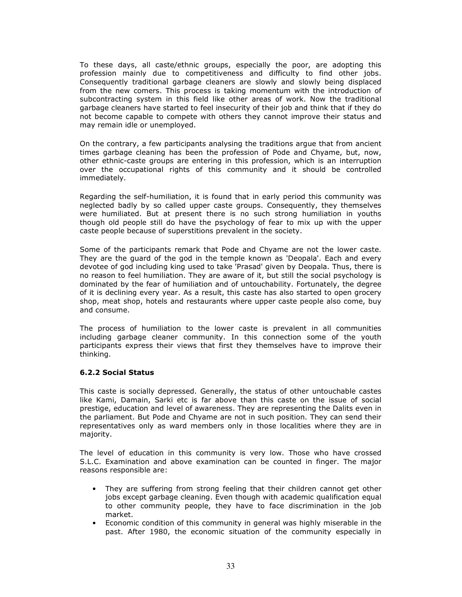To these days, all caste/ethnic groups, especially the poor, are adopting this profession mainly due to competitiveness and difficulty to find other jobs. Consequently traditional garbage cleaners are slowly and slowly being displaced from the new comers. This process is taking momentum with the introduction of subcontracting system in this field like other areas of work. Now the traditional garbage cleaners have started to feel insecurity of their job and think that if they do not become capable to compete with others they cannot improve their status and may remain idle or unemployed.

On the contrary, a few participants analysing the traditions argue that from ancient times garbage cleaning has been the profession of Pode and Chyame, but, now, other ethnic-caste groups are entering in this profession, which is an interruption over the occupational rights of this community and it should be controlled immediately.

Regarding the self-humiliation, it is found that in early period this community was neglected badly by so called upper caste groups. Consequently, they themselves were humiliated. But at present there is no such strong humiliation in youths though old people still do have the psychology of fear to mix up with the upper caste people because of superstitions prevalent in the society.

Some of the participants remark that Pode and Chyame are not the lower caste. They are the guard of the god in the temple known as 'Deopala'. Each and every devotee of god including king used to take 'Prasad' given by Deopala. Thus, there is no reason to feel humiliation. They are aware of it, but still the social psychology is dominated by the fear of humiliation and of untouchability. Fortunately, the degree of it is declining every year. As a result, this caste has also started to open grocery shop, meat shop, hotels and restaurants where upper caste people also come, buy and consume.

The process of humiliation to the lower caste is prevalent in all communities including garbage cleaner community. In this connection some of the youth participants express their views that first they themselves have to improve their thinking.

#### 6.2.2 Social Status

This caste is socially depressed. Generally, the status of other untouchable castes like Kami, Damain, Sarki etc is far above than this caste on the issue of social prestige, education and level of awareness. They are representing the Dalits even in the parliament. But Pode and Chyame are not in such position. They can send their representatives only as ward members only in those localities where they are in majority.

The level of education in this community is very low. Those who have crossed S.L.C. Examination and above examination can be counted in finger. The major reasons responsible are:

- They are suffering from strong feeling that their children cannot get other jobs except garbage cleaning. Even though with academic qualification equal to other community people, they have to face discrimination in the job market.
- Economic condition of this community in general was highly miserable in the past. After 1980, the economic situation of the community especially in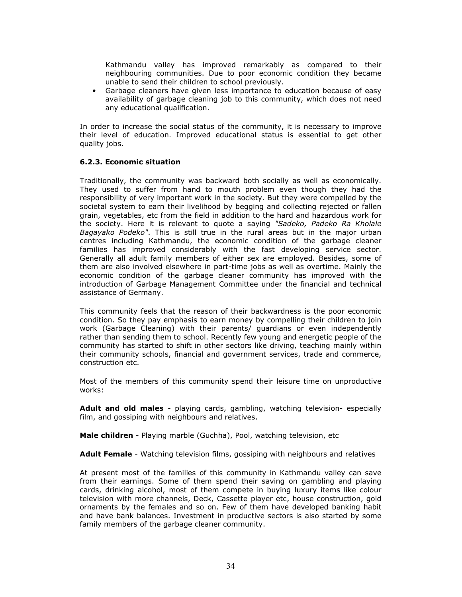Kathmandu valley has improved remarkably as compared to their neighbouring communities. Due to poor economic condition they became unable to send their children to school previously.

• Garbage cleaners have given less importance to education because of easy availability of garbage cleaning job to this community, which does not need any educational qualification.

In order to increase the social status of the community, it is necessary to improve their level of education. Improved educational status is essential to get other quality jobs.

#### 6.2.3. Economic situation

Traditionally, the community was backward both socially as well as economically. They used to suffer from hand to mouth problem even though they had the responsibility of very important work in the society. But they were compelled by the societal system to earn their livelihood by begging and collecting rejected or fallen grain, vegetables, etc from the field in addition to the hard and hazardous work for the society. Here it is relevant to quote a saying "Sadeko, Padeko Ra Kholale Bagayako Podeko". This is still true in the rural areas but in the major urban centres including Kathmandu, the economic condition of the garbage cleaner families has improved considerably with the fast developing service sector. Generally all adult family members of either sex are employed. Besides, some of them are also involved elsewhere in part-time jobs as well as overtime. Mainly the economic condition of the garbage cleaner community has improved with the introduction of Garbage Management Committee under the financial and technical assistance of Germany.

This community feels that the reason of their backwardness is the poor economic condition. So they pay emphasis to earn money by compelling their children to join work (Garbage Cleaning) with their parents/ guardians or even independently rather than sending them to school. Recently few young and energetic people of the community has started to shift in other sectors like driving, teaching mainly within their community schools, financial and government services, trade and commerce, construction etc.

Most of the members of this community spend their leisure time on unproductive works:

Adult and old males - playing cards, gambling, watching television- especially film, and gossiping with neighbours and relatives.

Male children - Playing marble (Guchha), Pool, watching television, etc

Adult Female - Watching television films, gossiping with neighbours and relatives

At present most of the families of this community in Kathmandu valley can save from their earnings. Some of them spend their saving on gambling and playing cards, drinking alcohol, most of them compete in buying luxury items like colour television with more channels, Deck, Cassette player etc, house construction, gold ornaments by the females and so on. Few of them have developed banking habit and have bank balances. Investment in productive sectors is also started by some family members of the garbage cleaner community.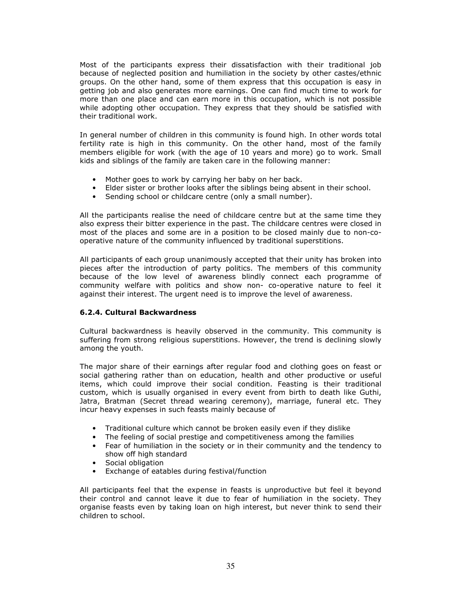Most of the participants express their dissatisfaction with their traditional job because of neglected position and humiliation in the society by other castes/ethnic groups. On the other hand, some of them express that this occupation is easy in getting job and also generates more earnings. One can find much time to work for more than one place and can earn more in this occupation, which is not possible while adopting other occupation. They express that they should be satisfied with their traditional work.

In general number of children in this community is found high. In other words total fertility rate is high in this community. On the other hand, most of the family members eligible for work (with the age of 10 years and more) go to work. Small kids and siblings of the family are taken care in the following manner:

- Mother goes to work by carrying her baby on her back.
- Elder sister or brother looks after the siblings being absent in their school.
- Sending school or childcare centre (only a small number).

All the participants realise the need of childcare centre but at the same time they also express their bitter experience in the past. The childcare centres were closed in most of the places and some are in a position to be closed mainly due to non-cooperative nature of the community influenced by traditional superstitions.

All participants of each group unanimously accepted that their unity has broken into pieces after the introduction of party politics. The members of this community because of the low level of awareness blindly connect each programme of community welfare with politics and show non- co-operative nature to feel it against their interest. The urgent need is to improve the level of awareness.

### 6.2.4. Cultural Backwardness

Cultural backwardness is heavily observed in the community. This community is suffering from strong religious superstitions. However, the trend is declining slowly among the youth.

The major share of their earnings after regular food and clothing goes on feast or social gathering rather than on education, health and other productive or useful items, which could improve their social condition. Feasting is their traditional custom, which is usually organised in every event from birth to death like Guthi, Jatra, Bratman (Secret thread wearing ceremony), marriage, funeral etc. They incur heavy expenses in such feasts mainly because of

- Traditional culture which cannot be broken easily even if they dislike
- The feeling of social prestige and competitiveness among the families
- Fear of humiliation in the society or in their community and the tendency to show off high standard
- Social obligation
- Exchange of eatables during festival/function

All participants feel that the expense in feasts is unproductive but feel it beyond their control and cannot leave it due to fear of humiliation in the society. They organise feasts even by taking loan on high interest, but never think to send their children to school.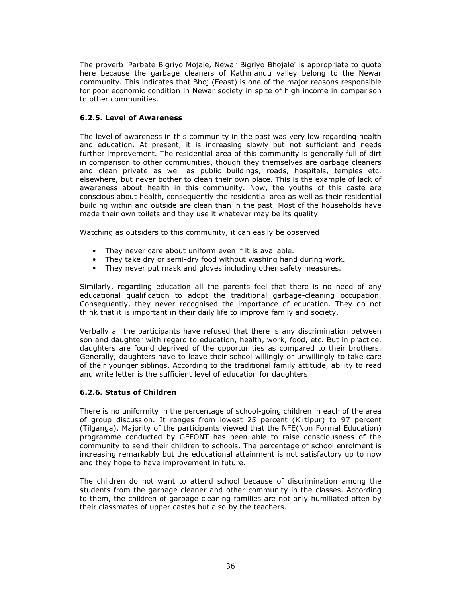The proverb 'Parbate Bigriyo Mojale, Newar Bigriyo Bhojale' is appropriate to quote here because the garbage cleaners of Kathmandu valley belong to the Newar community. This indicates that Bhoj (Feast) is one of the major reasons responsible for poor economic condition in Newar society in spite of high income in comparison to other communities.

### 6.2.5. Level of Awareness

The level of awareness in this community in the past was very low regarding health and education. At present, it is increasing slowly but not sufficient and needs further improvement. The residential area of this community is generally full of dirt in comparison to other communities, though they themselves are garbage cleaners and clean private as well as public buildings, roads, hospitals, temples etc. elsewhere, but never bother to clean their own place. This is the example of lack of awareness about health in this community. Now, the youths of this caste are conscious about health, consequently the residential area as well as their residential building within and outside are clean than in the past. Most of the households have made their own toilets and they use it whatever may be its quality.

Watching as outsiders to this community, it can easily be observed:

- They never care about uniform even if it is available.
- They take dry or semi-dry food without washing hand during work.
- They never put mask and gloves including other safety measures.

Similarly, regarding education all the parents feel that there is no need of any educational qualification to adopt the traditional garbage-cleaning occupation. Consequently, they never recognised the importance of education. They do not think that it is important in their daily life to improve family and society.

Verbally all the participants have refused that there is any discrimination between son and daughter with regard to education, health, work, food, etc. But in practice, daughters are found deprived of the opportunities as compared to their brothers. Generally, daughters have to leave their school willingly or unwillingly to take care of their younger siblings. According to the traditional family attitude, ability to read and write letter is the sufficient level of education for daughters.

### 6.2.6. Status of Children

There is no uniformity in the percentage of school-going children in each of the area of group discussion. It ranges from lowest 25 percent (Kirtipur) to 97 percent (Tilganga). Majority of the participants viewed that the NFE(Non Formal Education) programme conducted by GEFONT has been able to raise consciousness of the community to send their children to schools. The percentage of school enrolment is increasing remarkably but the educational attainment is not satisfactory up to now and they hope to have improvement in future.

The children do not want to attend school because of discrimination among the students from the garbage cleaner and other community in the classes. According to them, the children of garbage cleaning families are not only humiliated often by their classmates of upper castes but also by the teachers.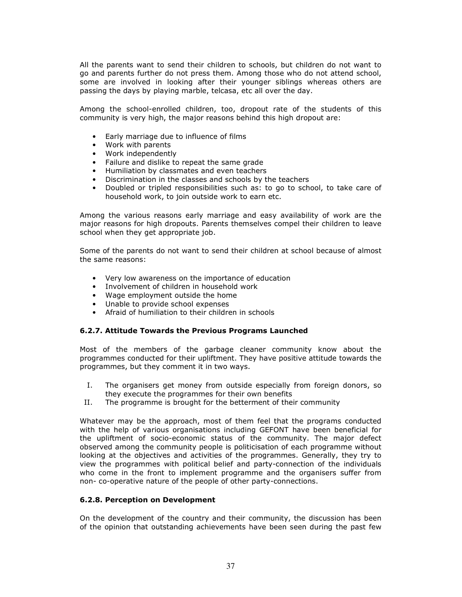All the parents want to send their children to schools, but children do not want to go and parents further do not press them. Among those who do not attend school, some are involved in looking after their younger siblings whereas others are passing the days by playing marble, telcasa, etc all over the day.

Among the school-enrolled children, too, dropout rate of the students of this community is very high, the major reasons behind this high dropout are:

- Early marriage due to influence of films
- Work with parents
- Work independently
- Failure and dislike to repeat the same grade
- Humiliation by classmates and even teachers
- Discrimination in the classes and schools by the teachers
- Doubled or tripled responsibilities such as: to go to school, to take care of household work, to join outside work to earn etc.

Among the various reasons early marriage and easy availability of work are the major reasons for high dropouts. Parents themselves compel their children to leave school when they get appropriate job.

Some of the parents do not want to send their children at school because of almost the same reasons:

- Very low awareness on the importance of education
- Involvement of children in household work
- Wage employment outside the home
- Unable to provide school expenses
- Afraid of humiliation to their children in schools

#### 6.2.7. Attitude Towards the Previous Programs Launched

Most of the members of the garbage cleaner community know about the programmes conducted for their upliftment. They have positive attitude towards the programmes, but they comment it in two ways.

- I. The organisers get money from outside especially from foreign donors, so they execute the programmes for their own benefits
- II. The programme is brought for the betterment of their community

Whatever may be the approach, most of them feel that the programs conducted with the help of various organisations including GEFONT have been beneficial for the upliftment of socio-economic status of the community. The major defect observed among the community people is politicisation of each programme without looking at the objectives and activities of the programmes. Generally, they try to view the programmes with political belief and party-connection of the individuals who come in the front to implement programme and the organisers suffer from non- co-operative nature of the people of other party-connections.

#### 6.2.8. Perception on Development

On the development of the country and their community, the discussion has been of the opinion that outstanding achievements have been seen during the past few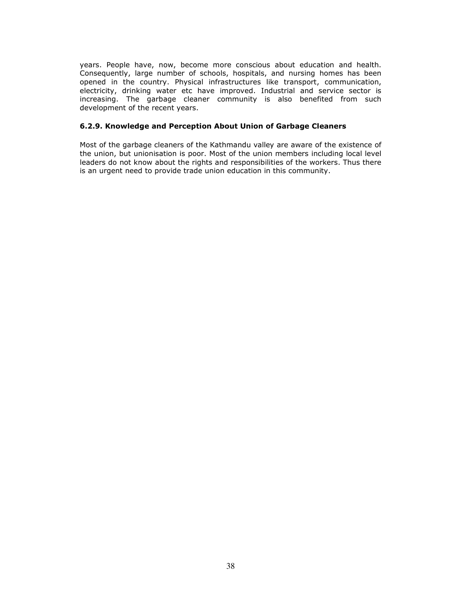years. People have, now, become more conscious about education and health. Consequently, large number of schools, hospitals, and nursing homes has been opened in the country. Physical infrastructures like transport, communication, electricity, drinking water etc have improved. Industrial and service sector is increasing. The garbage cleaner community is also benefited from such development of the recent years.

### 6.2.9. Knowledge and Perception About Union of Garbage Cleaners

Most of the garbage cleaners of the Kathmandu valley are aware of the existence of the union, but unionisation is poor. Most of the union members including local level leaders do not know about the rights and responsibilities of the workers. Thus there is an urgent need to provide trade union education in this community.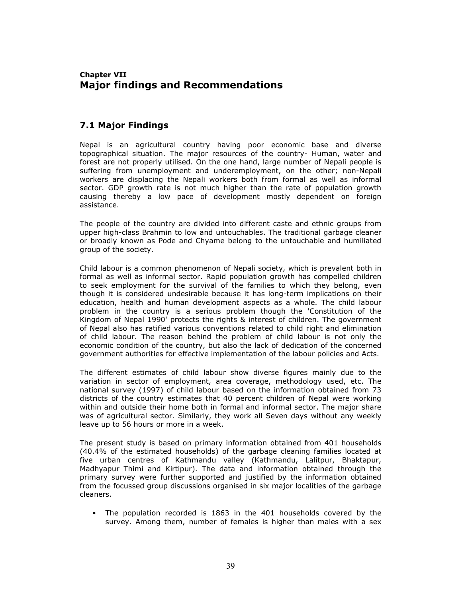## Chapter VII Major findings and Recommendations

### 7.1 Major Findings

Nepal is an agricultural country having poor economic base and diverse topographical situation. The major resources of the country- Human, water and forest are not properly utilised. On the one hand, large number of Nepali people is suffering from unemployment and underemployment, on the other; non-Nepali workers are displacing the Nepali workers both from formal as well as informal sector. GDP growth rate is not much higher than the rate of population growth causing thereby a low pace of development mostly dependent on foreign assistance.

The people of the country are divided into different caste and ethnic groups from upper high-class Brahmin to low and untouchables. The traditional garbage cleaner or broadly known as Pode and Chyame belong to the untouchable and humiliated group of the society.

Child labour is a common phenomenon of Nepali society, which is prevalent both in formal as well as informal sector. Rapid population growth has compelled children to seek employment for the survival of the families to which they belong, even though it is considered undesirable because it has long-term implications on their education, health and human development aspects as a whole. The child labour problem in the country is a serious problem though the 'Constitution of the Kingdom of Nepal 1990' protects the rights & interest of children. The government of Nepal also has ratified various conventions related to child right and elimination of child labour. The reason behind the problem of child labour is not only the economic condition of the country, but also the lack of dedication of the concerned government authorities for effective implementation of the labour policies and Acts.

The different estimates of child labour show diverse figures mainly due to the variation in sector of employment, area coverage, methodology used, etc. The national survey (1997) of child labour based on the information obtained from 73 districts of the country estimates that 40 percent children of Nepal were working within and outside their home both in formal and informal sector. The major share was of agricultural sector. Similarly, they work all Seven days without any weekly leave up to 56 hours or more in a week.

The present study is based on primary information obtained from 401 households (40.4% of the estimated households) of the garbage cleaning families located at five urban centres of Kathmandu valley (Kathmandu, Lalitpur, Bhaktapur, Madhyapur Thimi and Kirtipur). The data and information obtained through the primary survey were further supported and justified by the information obtained from the focussed group discussions organised in six major localities of the garbage cleaners.

• The population recorded is 1863 in the 401 households covered by the survey. Among them, number of females is higher than males with a sex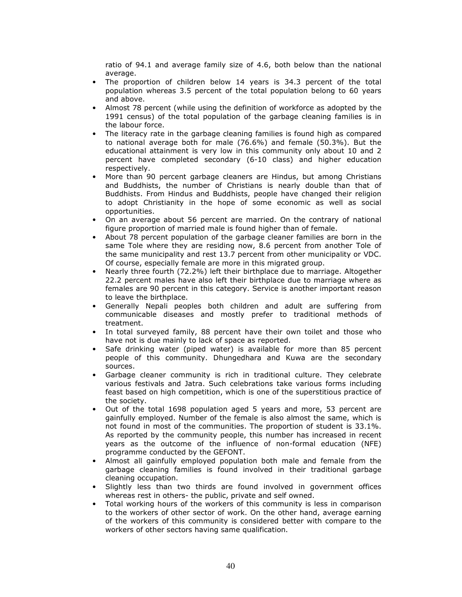ratio of 94.1 and average family size of 4.6, both below than the national average.

- The proportion of children below 14 years is 34.3 percent of the total population whereas 3.5 percent of the total population belong to 60 years and above.
- Almost 78 percent (while using the definition of workforce as adopted by the 1991 census) of the total population of the garbage cleaning families is in the labour force.
- The literacy rate in the garbage cleaning families is found high as compared to national average both for male (76.6%) and female (50.3%). But the educational attainment is very low in this community only about 10 and 2 percent have completed secondary (6-10 class) and higher education respectively.
- More than 90 percent garbage cleaners are Hindus, but among Christians and Buddhists, the number of Christians is nearly double than that of Buddhists. From Hindus and Buddhists, people have changed their religion to adopt Christianity in the hope of some economic as well as social opportunities.
- On an average about 56 percent are married. On the contrary of national figure proportion of married male is found higher than of female.
- About 78 percent population of the garbage cleaner families are born in the same Tole where they are residing now, 8.6 percent from another Tole of the same municipality and rest 13.7 percent from other municipality or VDC. Of course, especially female are more in this migrated group.
- Nearly three fourth (72.2%) left their birthplace due to marriage. Altogether 22.2 percent males have also left their birthplace due to marriage where as females are 90 percent in this category. Service is another important reason to leave the birthplace.
- Generally Nepali peoples both children and adult are suffering from communicable diseases and mostly prefer to traditional methods of treatment.
- In total surveyed family, 88 percent have their own toilet and those who have not is due mainly to lack of space as reported.
- Safe drinking water (piped water) is available for more than 85 percent people of this community. Dhungedhara and Kuwa are the secondary sources.
- Garbage cleaner community is rich in traditional culture. They celebrate various festivals and Jatra. Such celebrations take various forms including feast based on high competition, which is one of the superstitious practice of the society.
- Out of the total 1698 population aged 5 years and more, 53 percent are gainfully employed. Number of the female is also almost the same, which is not found in most of the communities. The proportion of student is 33.1%. As reported by the community people, this number has increased in recent years as the outcome of the influence of non-formal education (NFE) programme conducted by the GEFONT.
- Almost all gainfully employed population both male and female from the garbage cleaning families is found involved in their traditional garbage cleaning occupation.
- Slightly less than two thirds are found involved in government offices whereas rest in others- the public, private and self owned.
- Total working hours of the workers of this community is less in comparison to the workers of other sector of work. On the other hand, average earning of the workers of this community is considered better with compare to the workers of other sectors having same qualification.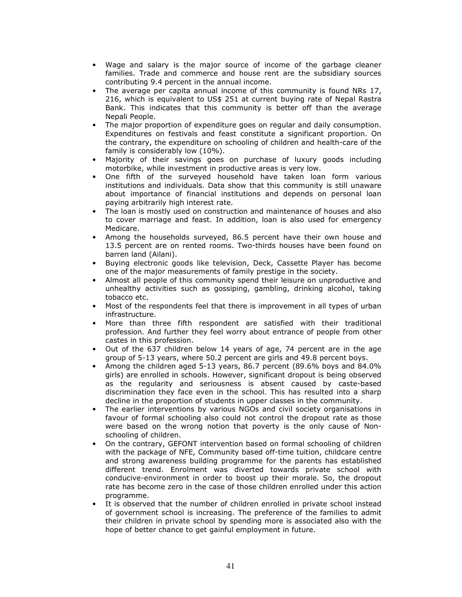- Wage and salary is the major source of income of the garbage cleaner families. Trade and commerce and house rent are the subsidiary sources contributing 9.4 percent in the annual income.
- The average per capita annual income of this community is found NRs 17, 216, which is equivalent to US\$ 251 at current buying rate of Nepal Rastra Bank. This indicates that this community is better off than the average Nepali People.
- The major proportion of expenditure goes on regular and daily consumption. Expenditures on festivals and feast constitute a significant proportion. On the contrary, the expenditure on schooling of children and health-care of the family is considerably low (10%).
- Majority of their savings goes on purchase of luxury goods including motorbike, while investment in productive areas is very low.
- One fifth of the surveyed household have taken loan form various institutions and individuals. Data show that this community is still unaware about importance of financial institutions and depends on personal loan paying arbitrarily high interest rate.
- The loan is mostly used on construction and maintenance of houses and also to cover marriage and feast. In addition, loan is also used for emergency Medicare.
- Among the households surveyed, 86.5 percent have their own house and 13.5 percent are on rented rooms. Two-thirds houses have been found on barren land (Ailani).
- Buying electronic goods like television, Deck, Cassette Player has become one of the major measurements of family prestige in the society.
- Almost all people of this community spend their leisure on unproductive and unhealthy activities such as gossiping, gambling, drinking alcohol, taking tobacco etc.
- Most of the respondents feel that there is improvement in all types of urban infrastructure.
- More than three fifth respondent are satisfied with their traditional profession. And further they feel worry about entrance of people from other castes in this profession.
- Out of the 637 children below 14 years of age, 74 percent are in the age group of 5-13 years, where 50.2 percent are girls and 49.8 percent boys.
- Among the children aged 5-13 years, 86.7 percent (89.6% boys and 84.0% girls) are enrolled in schools. However, significant dropout is being observed as the regularity and seriousness is absent caused by caste-based discrimination they face even in the school. This has resulted into a sharp decline in the proportion of students in upper classes in the community.
- The earlier interventions by various NGOs and civil society organisations in favour of formal schooling also could not control the dropout rate as those were based on the wrong notion that poverty is the only cause of Nonschooling of children.
- On the contrary, GEFONT intervention based on formal schooling of children with the package of NFE, Community based off-time tuition, childcare centre and strong awareness building programme for the parents has established different trend. Enrolment was diverted towards private school with conducive-environment in order to boost up their morale. So, the dropout rate has become zero in the case of those children enrolled under this action programme.
- It is observed that the number of children enrolled in private school instead of government school is increasing. The preference of the families to admit their children in private school by spending more is associated also with the hope of better chance to get gainful employment in future.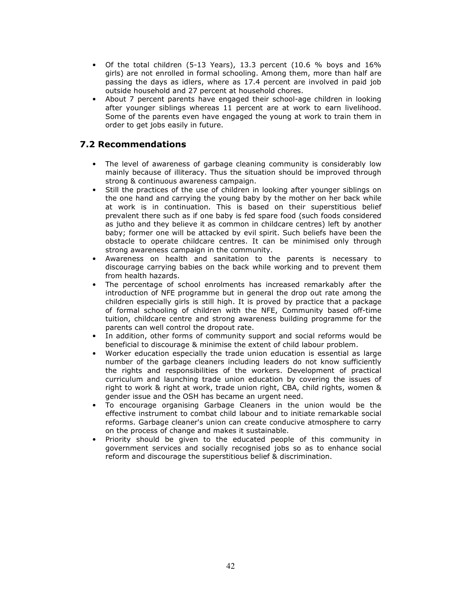- Of the total children (5-13 Years), 13.3 percent (10.6 % boys and 16% girls) are not enrolled in formal schooling. Among them, more than half are passing the days as idlers, where as 17.4 percent are involved in paid job outside household and 27 percent at household chores.
- About 7 percent parents have engaged their school-age children in looking after younger siblings whereas 11 percent are at work to earn livelihood. Some of the parents even have engaged the young at work to train them in order to get jobs easily in future.

## 7.2 Recommendations

- The level of awareness of garbage cleaning community is considerably low mainly because of illiteracy. Thus the situation should be improved through strong & continuous awareness campaign.
- Still the practices of the use of children in looking after younger siblings on the one hand and carrying the young baby by the mother on her back while at work is in continuation. This is based on their superstitious belief prevalent there such as if one baby is fed spare food (such foods considered as jutho and they believe it as common in childcare centres) left by another baby; former one will be attacked by evil spirit. Such beliefs have been the obstacle to operate childcare centres. It can be minimised only through strong awareness campaign in the community.
- Awareness on health and sanitation to the parents is necessary to discourage carrying babies on the back while working and to prevent them from health hazards.
- The percentage of school enrolments has increased remarkably after the introduction of NFE programme but in general the drop out rate among the children especially girls is still high. It is proved by practice that a package of formal schooling of children with the NFE, Community based off-time tuition, childcare centre and strong awareness building programme for the parents can well control the dropout rate.
- In addition, other forms of community support and social reforms would be beneficial to discourage & minimise the extent of child labour problem.
- Worker education especially the trade union education is essential as large number of the garbage cleaners including leaders do not know sufficiently the rights and responsibilities of the workers. Development of practical curriculum and launching trade union education by covering the issues of right to work & right at work, trade union right, CBA, child rights, women & gender issue and the OSH has became an urgent need.
- To encourage organising Garbage Cleaners in the union would be the effective instrument to combat child labour and to initiate remarkable social reforms. Garbage cleaner's union can create conducive atmosphere to carry on the process of change and makes it sustainable.
- Priority should be given to the educated people of this community in government services and socially recognised jobs so as to enhance social reform and discourage the superstitious belief & discrimination.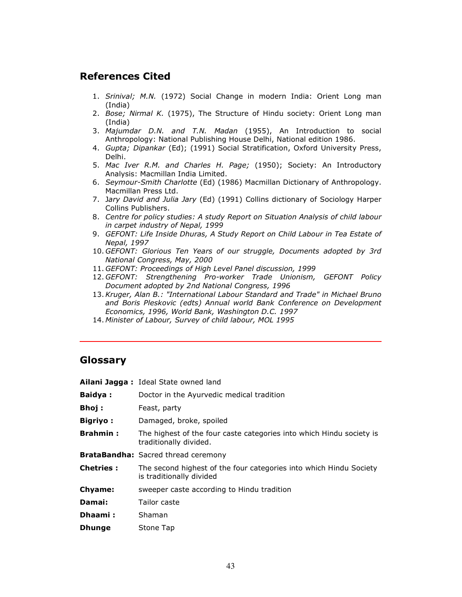# References Cited

- 1. Srinival; M.N. (1972) Social Change in modern India: Orient Long man (India)
- 2. Bose; Nirmal K. (1975), The Structure of Hindu society: Orient Long man (India)
- 3. *Majumdar D.N. and T.N. Madan* (1955), An Introduction to social Anthropology: National Publishing House Delhi, National edition 1986.
- 4. Gupta; Dipankar (Ed); (1991) Social Stratification, Oxford University Press, Delhi.
- 5. Mac Iver R.M. and Charles H. Page; (1950); Society: An Introductory Analysis: Macmillan India Limited.
- 6. Seymour-Smith Charlotte (Ed) (1986) Macmillan Dictionary of Anthropology. Macmillan Press Ltd.
- 7. Jary David and Julia Jary (Ed) (1991) Collins dictionary of Sociology Harper Collins Publishers.
- 8. Centre for policy studies: A study Report on Situation Analysis of child labour in carpet industry of Nepal, 1999
- 9. GEFONT: Life Inside Dhuras, A Study Report on Child Labour in Tea Estate of Nepal, 1997
- 10. GEFONT: Glorious Ten Years of our struggle, Documents adopted by 3rd National Congress, May, 2000
- 11. GEFONT: Proceedings of High Level Panel discussion, 1999
- 12. GEFONT: Strengthening Pro-worker Trade Unionism, GEFONT Policy Document adopted by 2nd National Congress, 1996
- 13.Kruger, Alan B.: "International Labour Standard and Trade" in Michael Bruno and Boris Pleskovic (edts) Annual world Bank Conference on Development Economics, 1996, World Bank, Washington D.C. 1997
- 14. Minister of Labour, Survey of child labour, MOL 1995

### Glossary

|                  | Ailani Jagga: Ideal State owned land                                                           |
|------------------|------------------------------------------------------------------------------------------------|
| <b>Baidya:</b>   | Doctor in the Ayurvedic medical tradition                                                      |
| <b>Bhoj:</b>     | Feast, party                                                                                   |
| <b>Bigriyo:</b>  | Damaged, broke, spoiled                                                                        |
| <b>Brahmin:</b>  | The highest of the four caste categories into which Hindu society is<br>traditionally divided. |
|                  | <b>BrataBandha:</b> Sacred thread ceremony                                                     |
| <b>Chetries:</b> | The second highest of the four categories into which Hindu Society<br>is traditionally divided |
| Chyame:          | sweeper caste according to Hindu tradition                                                     |
| Damai:           | Tailor caste                                                                                   |
| Dhaami:          | Shaman                                                                                         |
| <b>Dhunge</b>    | Stone Tap                                                                                      |